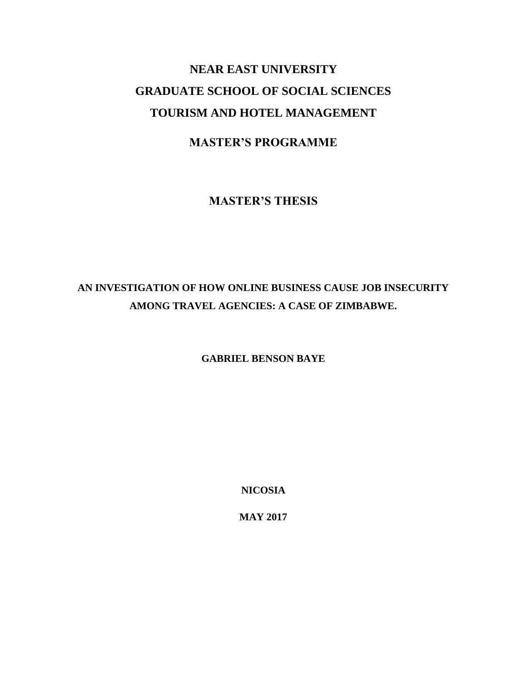## **NEAR EAST UNIVERSITY GRADUATE SCHOOL OF SOCIAL SCIENCES TOURISM AND HOTEL MANAGEMENT**

### **MASTER'S PROGRAMME**

**MASTER'S THESIS**

### **AN INVESTIGATION OF HOW ONLINE BUSINESS CAUSE JOB INSECURITY AMONG TRAVEL AGENCIES: A CASE OF ZIMBABWE.**

**GABRIEL BENSON BAYE**

**NICOSIA**

**MAY 2017**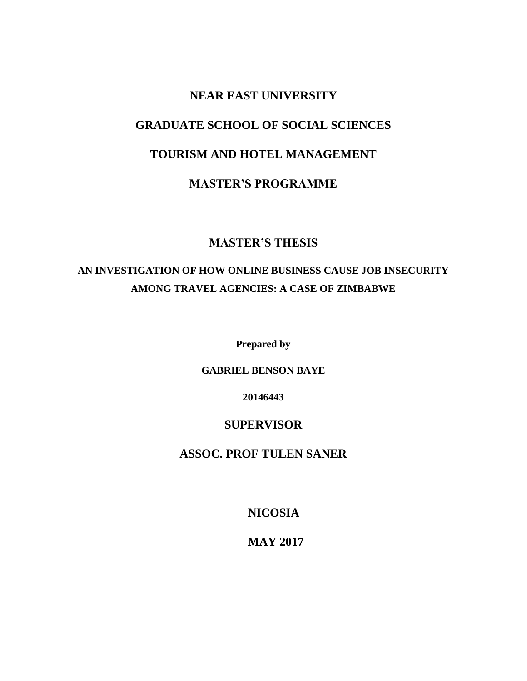# **NEAR EAST UNIVERSITY GRADUATE SCHOOL OF SOCIAL SCIENCES TOURISM AND HOTEL MANAGEMENT MASTER'S PROGRAMME**

### **MASTER'S THESIS**

### **AN INVESTIGATION OF HOW ONLINE BUSINESS CAUSE JOB INSECURITY AMONG TRAVEL AGENCIES: A CASE OF ZIMBABWE**

**Prepared by**

#### **GABRIEL BENSON BAYE**

**20146443**

#### **SUPERVISOR**

### **ASSOC. PROF TULEN SANER**

**NICOSIA**

**MAY 2017**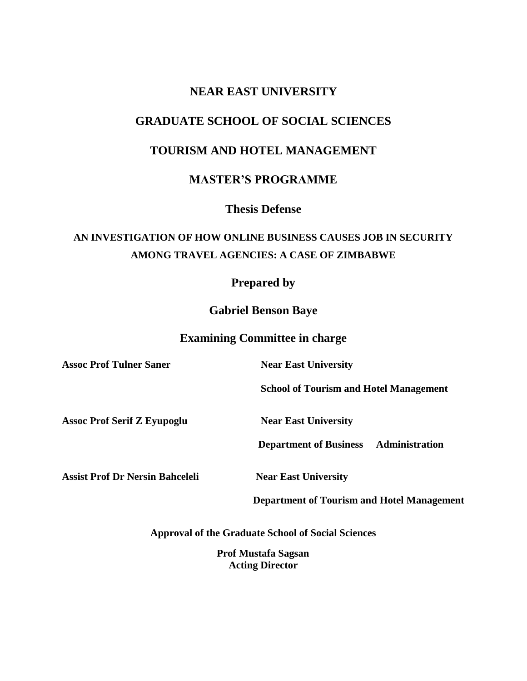### **NEAR EAST UNIVERSITY**

### **GRADUATE SCHOOL OF SOCIAL SCIENCES**

### **TOURISM AND HOTEL MANAGEMENT**

#### **MASTER'S PROGRAMME**

**Thesis Defense**

### **AN INVESTIGATION OF HOW ONLINE BUSINESS CAUSES JOB IN SECURITY AMONG TRAVEL AGENCIES: A CASE OF ZIMBABWE**

### **Prepared by**

**Gabriel Benson Baye**

#### **Examining Committee in charge**

**Assoc Prof Tulner Saner Near East University** 

 **School of Tourism and Hotel Management** 

Assoc Prof Serif Z Eyupoglu **Near East University** 

 **Department of Business Administration** 

**Assist Prof Dr Nersin Bahceleli Near East University** 

 **Department of Tourism and Hotel Management** 

**Approval of the Graduate School of Social Sciences**

**Prof Mustafa Sagsan Acting Director**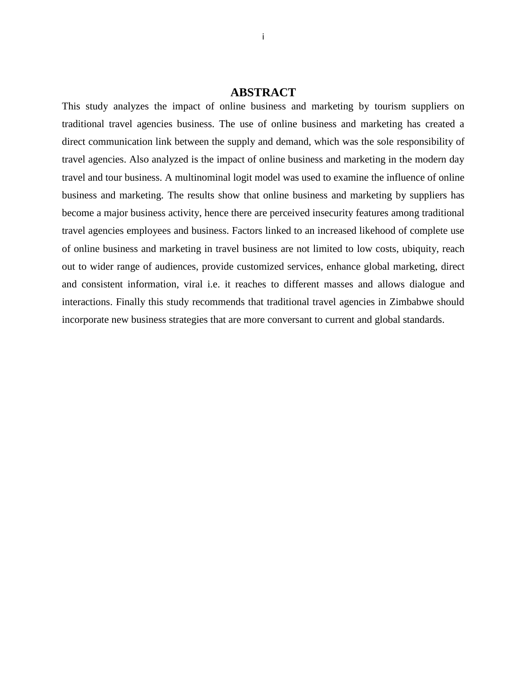#### **ABSTRACT**

<span id="page-3-0"></span>This study analyzes the impact of online business and marketing by tourism suppliers on traditional travel agencies business. The use of online business and marketing has created a direct communication link between the supply and demand, which was the sole responsibility of travel agencies. Also analyzed is the impact of online business and marketing in the modern day travel and tour business. A multinominal logit model was used to examine the influence of online business and marketing. The results show that online business and marketing by suppliers has become a major business activity, hence there are perceived insecurity features among traditional travel agencies employees and business. Factors linked to an increased likehood of complete use of online business and marketing in travel business are not limited to low costs, ubiquity, reach out to wider range of audiences, provide customized services, enhance global marketing, direct and consistent information, viral i.e. it reaches to different masses and allows dialogue and interactions. Finally this study recommends that traditional travel agencies in Zimbabwe should incorporate new business strategies that are more conversant to current and global standards.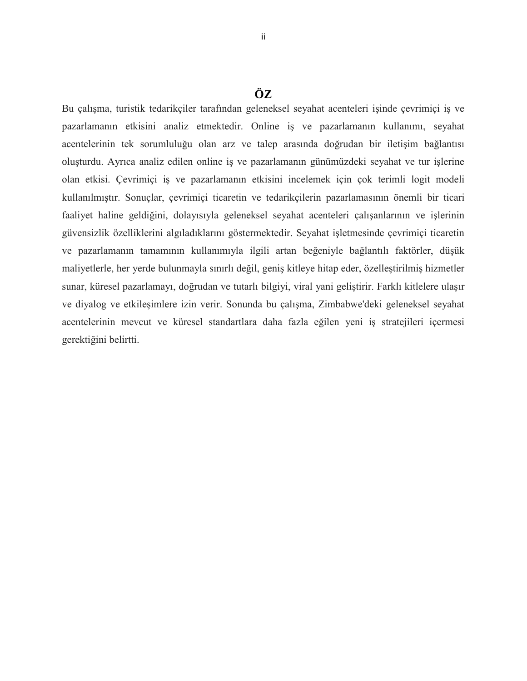<span id="page-4-0"></span>Bu çalışma, turistik tedarikçiler tarafından geleneksel seyahat acenteleri işinde çevrimiçi iş ve pazarlamanın etkisini analiz etmektedir. Online iş ve pazarlamanın kullanımı, seyahat acentelerinin tek sorumluluğu olan arz ve talep arasında doğrudan bir iletişim bağlantısı oluşturdu. Ayrıca analiz edilen online iş ve pazarlamanın günümüzdeki seyahat ve tur işlerine olan etkisi. Çevrimiçi iş ve pazarlamanın etkisini incelemek için çok terimli logit modeli kullanılmıştır. Sonuçlar, çevrimiçi ticaretin ve tedarikçilerin pazarlamasının önemli bir ticari faaliyet haline geldiğini, dolayısıyla geleneksel seyahat acenteleri çalışanlarının ve işlerinin güvensizlik özelliklerini algıladıklarını göstermektedir. Seyahat işletmesinde çevrimiçi ticaretin ve pazarlamanın tamamının kullanımıyla ilgili artan beğeniyle bağlantılı faktörler, düşük maliyetlerle, her yerde bulunmayla sınırlı değil, geniş kitleye hitap eder, özelleştirilmiş hizmetler sunar, küresel pazarlamayı, doğrudan ve tutarlı bilgiyi, viral yani geliştirir. Farklı kitlelere ulaşır ve diyalog ve etkileşimlere izin verir. Sonunda bu çalışma, Zimbabwe'deki geleneksel seyahat acentelerinin mevcut ve küresel standartlara daha fazla eğilen yeni iş stratejileri içermesi gerektiğini belirtti.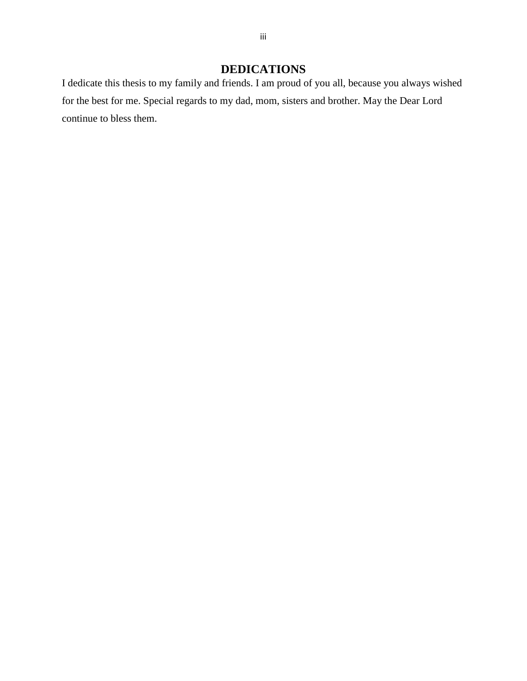### **DEDICATIONS**

<span id="page-5-0"></span>I dedicate this thesis to my family and friends. I am proud of you all, because you always wished for the best for me. Special regards to my dad, mom, sisters and brother. May the Dear Lord continue to bless them.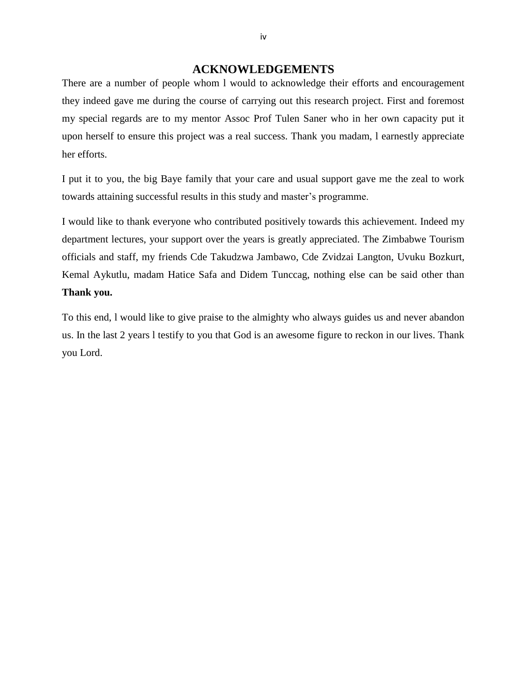#### **ACKNOWLEDGEMENTS**

<span id="page-6-0"></span>There are a number of people whom l would to acknowledge their efforts and encouragement they indeed gave me during the course of carrying out this research project. First and foremost my special regards are to my mentor Assoc Prof Tulen Saner who in her own capacity put it upon herself to ensure this project was a real success. Thank you madam, l earnestly appreciate her efforts.

I put it to you, the big Baye family that your care and usual support gave me the zeal to work towards attaining successful results in this study and master's programme.

I would like to thank everyone who contributed positively towards this achievement. Indeed my department lectures, your support over the years is greatly appreciated. The Zimbabwe Tourism officials and staff, my friends Cde Takudzwa Jambawo, Cde Zvidzai Langton, Uvuku Bozkurt, Kemal Aykutlu, madam Hatice Safa and Didem Tunccag, nothing else can be said other than **Thank you.**

To this end, l would like to give praise to the almighty who always guides us and never abandon us. In the last 2 years l testify to you that God is an awesome figure to reckon in our lives. Thank you Lord.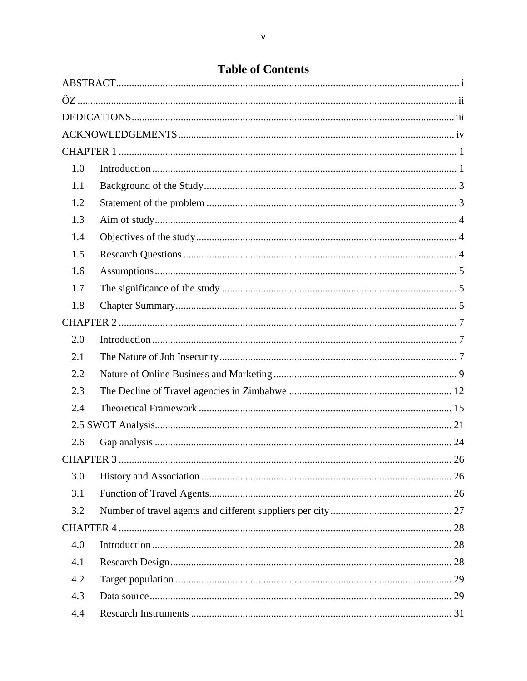### **Table of Contents**

| 1.0              |  |    |  |  |  |
|------------------|--|----|--|--|--|
| 1.1              |  |    |  |  |  |
| 1.2              |  |    |  |  |  |
| 1.3              |  |    |  |  |  |
| 1.4              |  |    |  |  |  |
| 1.5              |  |    |  |  |  |
| 1.6              |  |    |  |  |  |
| 1.7              |  |    |  |  |  |
| 1.8              |  |    |  |  |  |
|                  |  |    |  |  |  |
| 2.0              |  |    |  |  |  |
| 2.1              |  |    |  |  |  |
| 2.2              |  |    |  |  |  |
| 2.3              |  |    |  |  |  |
| 2.4              |  |    |  |  |  |
|                  |  |    |  |  |  |
| 2.6              |  |    |  |  |  |
| <b>CHAPTER 3</b> |  | 26 |  |  |  |
| 3.0              |  |    |  |  |  |
| 3.1              |  |    |  |  |  |
| 3.2              |  |    |  |  |  |
|                  |  |    |  |  |  |
| 4.0              |  |    |  |  |  |
| 4.1              |  |    |  |  |  |
| 4.2              |  |    |  |  |  |
| 4.3              |  |    |  |  |  |
| 4.4              |  |    |  |  |  |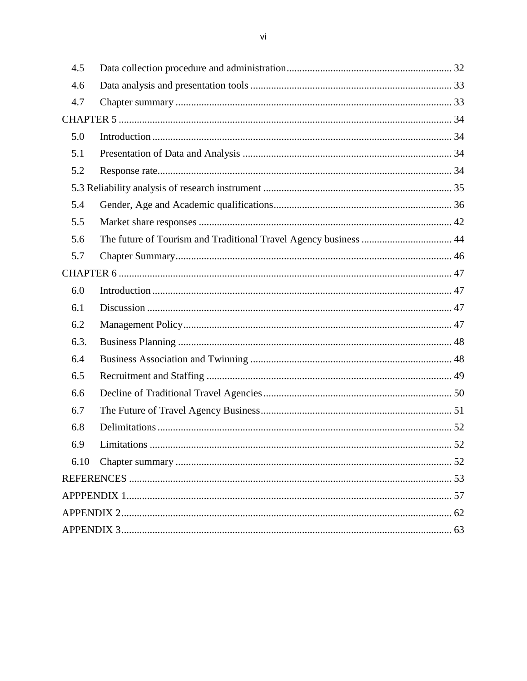| 4.5  |                                                                  |    |  |  |  |  |
|------|------------------------------------------------------------------|----|--|--|--|--|
| 4.6  |                                                                  |    |  |  |  |  |
| 4.7  |                                                                  |    |  |  |  |  |
|      |                                                                  |    |  |  |  |  |
| 5.0  |                                                                  |    |  |  |  |  |
| 5.1  |                                                                  |    |  |  |  |  |
| 5.2  |                                                                  |    |  |  |  |  |
|      |                                                                  |    |  |  |  |  |
| 5.4  |                                                                  |    |  |  |  |  |
| 5.5  |                                                                  |    |  |  |  |  |
| 5.6  | The future of Tourism and Traditional Travel Agency business  44 |    |  |  |  |  |
| 5.7  |                                                                  |    |  |  |  |  |
|      |                                                                  |    |  |  |  |  |
| 6.0  |                                                                  |    |  |  |  |  |
| 6.1  |                                                                  |    |  |  |  |  |
| 6.2  |                                                                  |    |  |  |  |  |
| 6.3. |                                                                  |    |  |  |  |  |
| 6.4  |                                                                  |    |  |  |  |  |
| 6.5  |                                                                  |    |  |  |  |  |
| 6.6  |                                                                  |    |  |  |  |  |
| 6.7  |                                                                  |    |  |  |  |  |
| 6.8  |                                                                  |    |  |  |  |  |
| 6.9  | Limitations                                                      | 52 |  |  |  |  |
| 6.10 |                                                                  |    |  |  |  |  |
|      |                                                                  |    |  |  |  |  |
|      |                                                                  |    |  |  |  |  |
|      |                                                                  |    |  |  |  |  |
|      |                                                                  |    |  |  |  |  |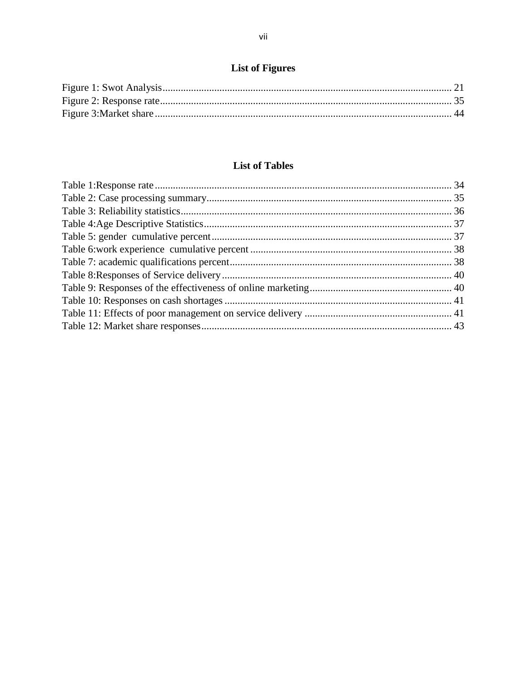### **List of Figures**

#### **List of Tables**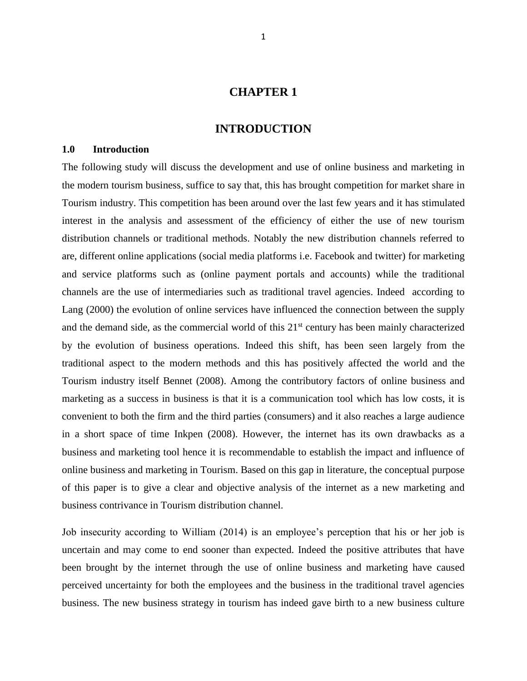#### **CHAPTER 1**

#### **INTRODUCTION**

#### <span id="page-10-1"></span><span id="page-10-0"></span>**1.0 Introduction**

The following study will discuss the development and use of online business and marketing in the modern tourism business, suffice to say that, this has brought competition for market share in Tourism industry. This competition has been around over the last few years and it has stimulated interest in the analysis and assessment of the efficiency of either the use of new tourism distribution channels or traditional methods. Notably the new distribution channels referred to are, different online applications (social media platforms i.e. Facebook and twitter) for marketing and service platforms such as (online payment portals and accounts) while the traditional channels are the use of intermediaries such as traditional travel agencies. Indeed according to Lang (2000) the evolution of online services have influenced the connection between the supply and the demand side, as the commercial world of this 21<sup>st</sup> century has been mainly characterized by the evolution of business operations. Indeed this shift, has been seen largely from the traditional aspect to the modern methods and this has positively affected the world and the Tourism industry itself Bennet (2008). Among the contributory factors of online business and marketing as a success in business is that it is a communication tool which has low costs, it is convenient to both the firm and the third parties (consumers) and it also reaches a large audience in a short space of time Inkpen (2008). However, the internet has its own drawbacks as a business and marketing tool hence it is recommendable to establish the impact and influence of online business and marketing in Tourism. Based on this gap in literature, the conceptual purpose of this paper is to give a clear and objective analysis of the internet as a new marketing and business contrivance in Tourism distribution channel.

Job insecurity according to William (2014) is an employee's perception that his or her job is uncertain and may come to end sooner than expected. Indeed the positive attributes that have been brought by the internet through the use of online business and marketing have caused perceived uncertainty for both the employees and the business in the traditional travel agencies business. The new business strategy in tourism has indeed gave birth to a new business culture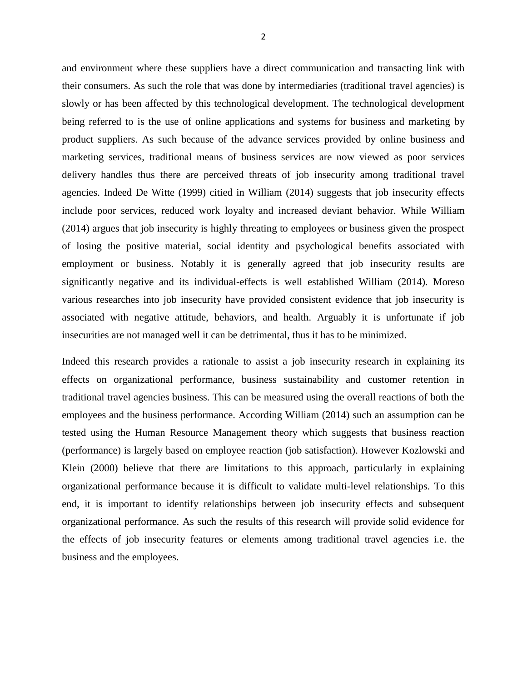and environment where these suppliers have a direct communication and transacting link with their consumers. As such the role that was done by intermediaries (traditional travel agencies) is slowly or has been affected by this technological development. The technological development being referred to is the use of online applications and systems for business and marketing by product suppliers. As such because of the advance services provided by online business and marketing services, traditional means of business services are now viewed as poor services delivery handles thus there are perceived threats of job insecurity among traditional travel agencies. Indeed De Witte (1999) citied in William (2014) suggests that job insecurity effects include poor services, reduced work loyalty and increased deviant behavior. While William (2014) argues that job insecurity is highly threating to employees or business given the prospect of losing the positive material, social identity and psychological benefits associated with employment or business. Notably it is generally agreed that job insecurity results are significantly negative and its individual-effects is well established William (2014). Moreso various researches into job insecurity have provided consistent evidence that job insecurity is associated with negative attitude, behaviors, and health. Arguably it is unfortunate if job insecurities are not managed well it can be detrimental, thus it has to be minimized.

Indeed this research provides a rationale to assist a job insecurity research in explaining its effects on organizational performance, business sustainability and customer retention in traditional travel agencies business. This can be measured using the overall reactions of both the employees and the business performance. According William (2014) such an assumption can be tested using the Human Resource Management theory which suggests that business reaction (performance) is largely based on employee reaction (job satisfaction). However Kozlowski and Klein (2000) believe that there are limitations to this approach, particularly in explaining organizational performance because it is difficult to validate multi-level relationships. To this end, it is important to identify relationships between job insecurity effects and subsequent organizational performance. As such the results of this research will provide solid evidence for the effects of job insecurity features or elements among traditional travel agencies i.e. the business and the employees.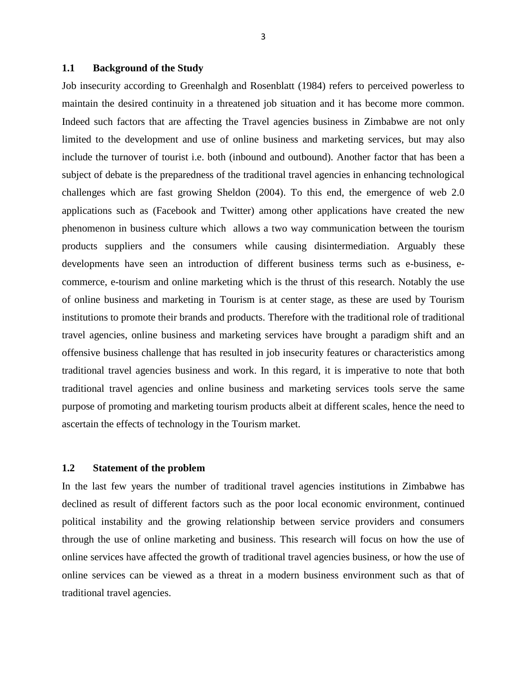#### <span id="page-12-0"></span>**1.1 Background of the Study**

Job insecurity according to Greenhalgh and Rosenblatt (1984) refers to perceived powerless to maintain the desired continuity in a threatened job situation and it has become more common. Indeed such factors that are affecting the Travel agencies business in Zimbabwe are not only limited to the development and use of online business and marketing services, but may also include the turnover of tourist i.e. both (inbound and outbound). Another factor that has been a subject of debate is the preparedness of the traditional travel agencies in enhancing technological challenges which are fast growing Sheldon (2004). To this end, the emergence of web 2.0 applications such as (Facebook and Twitter) among other applications have created the new phenomenon in business culture which allows a two way communication between the tourism products suppliers and the consumers while causing disintermediation. Arguably these developments have seen an introduction of different business terms such as e-business, ecommerce, e-tourism and online marketing which is the thrust of this research. Notably the use of online business and marketing in Tourism is at center stage, as these are used by Tourism institutions to promote their brands and products. Therefore with the traditional role of traditional travel agencies, online business and marketing services have brought a paradigm shift and an offensive business challenge that has resulted in job insecurity features or characteristics among traditional travel agencies business and work. In this regard, it is imperative to note that both traditional travel agencies and online business and marketing services tools serve the same purpose of promoting and marketing tourism products albeit at different scales, hence the need to ascertain the effects of technology in the Tourism market.

#### <span id="page-12-1"></span>**1.2 Statement of the problem**

In the last few years the number of traditional travel agencies institutions in Zimbabwe has declined as result of different factors such as the poor local economic environment, continued political instability and the growing relationship between service providers and consumers through the use of online marketing and business. This research will focus on how the use of online services have affected the growth of traditional travel agencies business, or how the use of online services can be viewed as a threat in a modern business environment such as that of traditional travel agencies.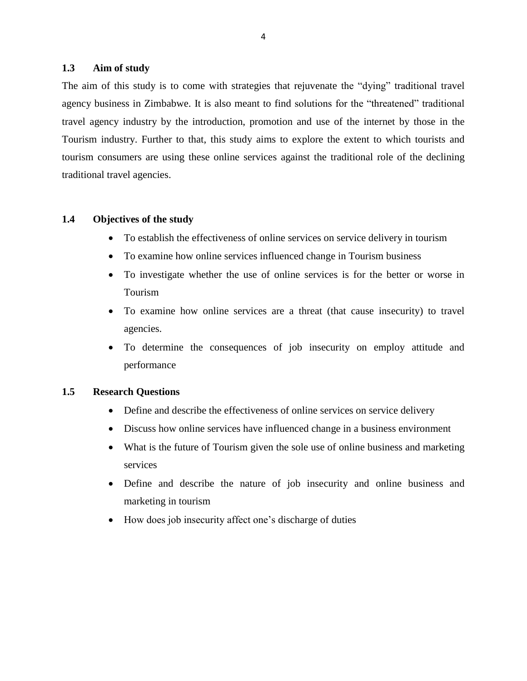#### <span id="page-13-0"></span>**1.3 Aim of study**

The aim of this study is to come with strategies that rejuvenate the "dying" traditional travel agency business in Zimbabwe. It is also meant to find solutions for the "threatened" traditional travel agency industry by the introduction, promotion and use of the internet by those in the Tourism industry. Further to that, this study aims to explore the extent to which tourists and tourism consumers are using these online services against the traditional role of the declining traditional travel agencies.

#### <span id="page-13-1"></span>**1.4 Objectives of the study**

- To establish the effectiveness of online services on service delivery in tourism
- To examine how online services influenced change in Tourism business
- To investigate whether the use of online services is for the better or worse in Tourism
- To examine how online services are a threat (that cause insecurity) to travel agencies.
- To determine the consequences of job insecurity on employ attitude and performance

#### <span id="page-13-2"></span>**1.5 Research Questions**

- Define and describe the effectiveness of online services on service delivery
- Discuss how online services have influenced change in a business environment
- What is the future of Tourism given the sole use of online business and marketing services
- Define and describe the nature of job insecurity and online business and marketing in tourism
- How does job insecurity affect one's discharge of duties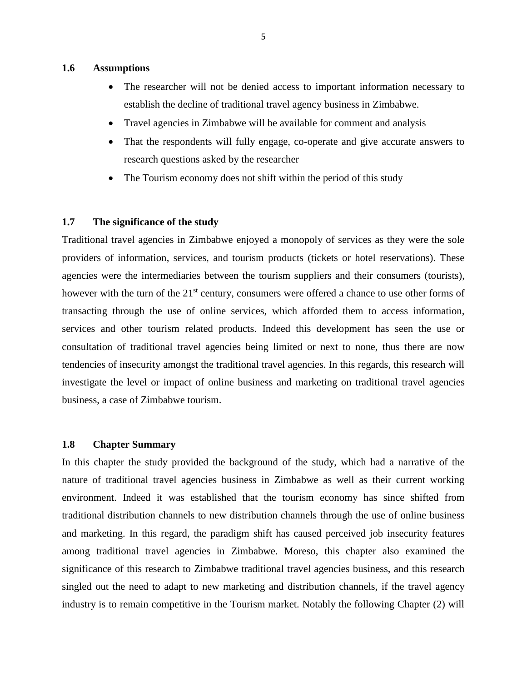#### <span id="page-14-0"></span>**1.6 Assumptions**

- The researcher will not be denied access to important information necessary to establish the decline of traditional travel agency business in Zimbabwe.
- Travel agencies in Zimbabwe will be available for comment and analysis
- That the respondents will fully engage, co-operate and give accurate answers to research questions asked by the researcher
- The Tourism economy does not shift within the period of this study

#### <span id="page-14-1"></span>**1.7 The significance of the study**

Traditional travel agencies in Zimbabwe enjoyed a monopoly of services as they were the sole providers of information, services, and tourism products (tickets or hotel reservations). These agencies were the intermediaries between the tourism suppliers and their consumers (tourists), however with the turn of the 21<sup>st</sup> century, consumers were offered a chance to use other forms of transacting through the use of online services, which afforded them to access information, services and other tourism related products. Indeed this development has seen the use or consultation of traditional travel agencies being limited or next to none, thus there are now tendencies of insecurity amongst the traditional travel agencies. In this regards, this research will investigate the level or impact of online business and marketing on traditional travel agencies business, a case of Zimbabwe tourism.

#### <span id="page-14-2"></span>**1.8 Chapter Summary**

In this chapter the study provided the background of the study, which had a narrative of the nature of traditional travel agencies business in Zimbabwe as well as their current working environment. Indeed it was established that the tourism economy has since shifted from traditional distribution channels to new distribution channels through the use of online business and marketing. In this regard, the paradigm shift has caused perceived job insecurity features among traditional travel agencies in Zimbabwe. Moreso, this chapter also examined the significance of this research to Zimbabwe traditional travel agencies business, and this research singled out the need to adapt to new marketing and distribution channels, if the travel agency industry is to remain competitive in the Tourism market. Notably the following Chapter (2) will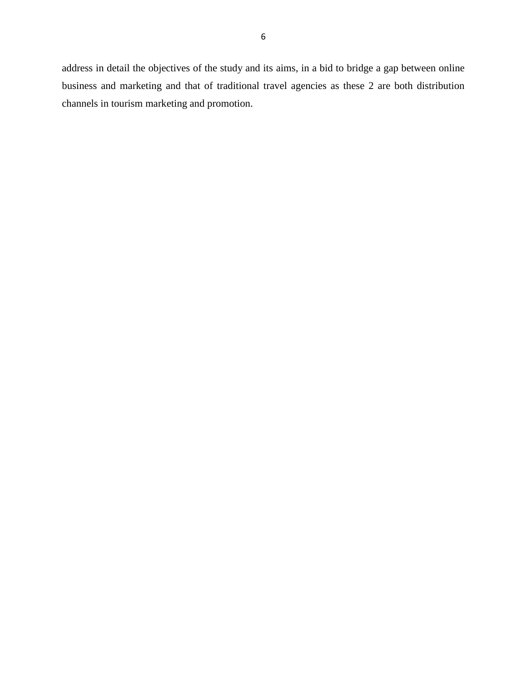address in detail the objectives of the study and its aims, in a bid to bridge a gap between online business and marketing and that of traditional travel agencies as these 2 are both distribution channels in tourism marketing and promotion.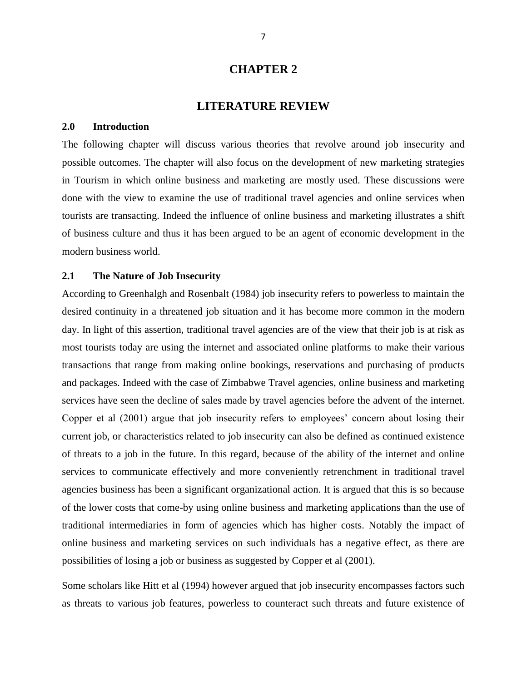#### **CHAPTER 2**

#### **LITERATURE REVIEW**

#### <span id="page-16-1"></span><span id="page-16-0"></span>**2.0 Introduction**

The following chapter will discuss various theories that revolve around job insecurity and possible outcomes. The chapter will also focus on the development of new marketing strategies in Tourism in which online business and marketing are mostly used. These discussions were done with the view to examine the use of traditional travel agencies and online services when tourists are transacting. Indeed the influence of online business and marketing illustrates a shift of business culture and thus it has been argued to be an agent of economic development in the modern business world.

#### <span id="page-16-2"></span>**2.1 The Nature of Job Insecurity**

According to Greenhalgh and Rosenbalt (1984) job insecurity refers to powerless to maintain the desired continuity in a threatened job situation and it has become more common in the modern day. In light of this assertion, traditional travel agencies are of the view that their job is at risk as most tourists today are using the internet and associated online platforms to make their various transactions that range from making online bookings, reservations and purchasing of products and packages. Indeed with the case of Zimbabwe Travel agencies, online business and marketing services have seen the decline of sales made by travel agencies before the advent of the internet. Copper et al (2001) argue that job insecurity refers to employees' concern about losing their current job, or characteristics related to job insecurity can also be defined as continued existence of threats to a job in the future. In this regard, because of the ability of the internet and online services to communicate effectively and more conveniently retrenchment in traditional travel agencies business has been a significant organizational action. It is argued that this is so because of the lower costs that come-by using online business and marketing applications than the use of traditional intermediaries in form of agencies which has higher costs. Notably the impact of online business and marketing services on such individuals has a negative effect, as there are possibilities of losing a job or business as suggested by Copper et al (2001).

Some scholars like Hitt et al (1994) however argued that job insecurity encompasses factors such as threats to various job features, powerless to counteract such threats and future existence of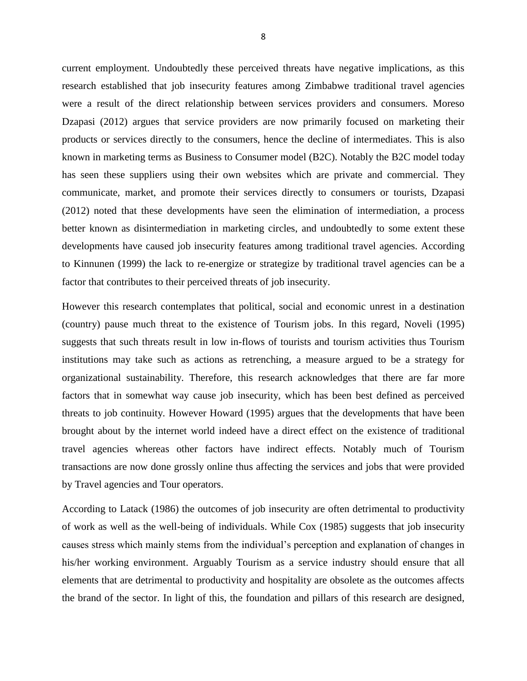current employment. Undoubtedly these perceived threats have negative implications, as this research established that job insecurity features among Zimbabwe traditional travel agencies were a result of the direct relationship between services providers and consumers. Moreso Dzapasi (2012) argues that service providers are now primarily focused on marketing their products or services directly to the consumers, hence the decline of intermediates. This is also known in marketing terms as Business to Consumer model (B2C). Notably the B2C model today has seen these suppliers using their own websites which are private and commercial. They communicate, market, and promote their services directly to consumers or tourists, Dzapasi (2012) noted that these developments have seen the elimination of intermediation, a process better known as disintermediation in marketing circles, and undoubtedly to some extent these developments have caused job insecurity features among traditional travel agencies. According to Kinnunen (1999) the lack to re-energize or strategize by traditional travel agencies can be a factor that contributes to their perceived threats of job insecurity.

However this research contemplates that political, social and economic unrest in a destination (country) pause much threat to the existence of Tourism jobs. In this regard, Noveli (1995) suggests that such threats result in low in-flows of tourists and tourism activities thus Tourism institutions may take such as actions as retrenching, a measure argued to be a strategy for organizational sustainability. Therefore, this research acknowledges that there are far more factors that in somewhat way cause job insecurity, which has been best defined as perceived threats to job continuity. However Howard (1995) argues that the developments that have been brought about by the internet world indeed have a direct effect on the existence of traditional travel agencies whereas other factors have indirect effects. Notably much of Tourism transactions are now done grossly online thus affecting the services and jobs that were provided by Travel agencies and Tour operators.

According to Latack (1986) the outcomes of job insecurity are often detrimental to productivity of work as well as the well-being of individuals. While Cox (1985) suggests that job insecurity causes stress which mainly stems from the individual's perception and explanation of changes in his/her working environment. Arguably Tourism as a service industry should ensure that all elements that are detrimental to productivity and hospitality are obsolete as the outcomes affects the brand of the sector. In light of this, the foundation and pillars of this research are designed,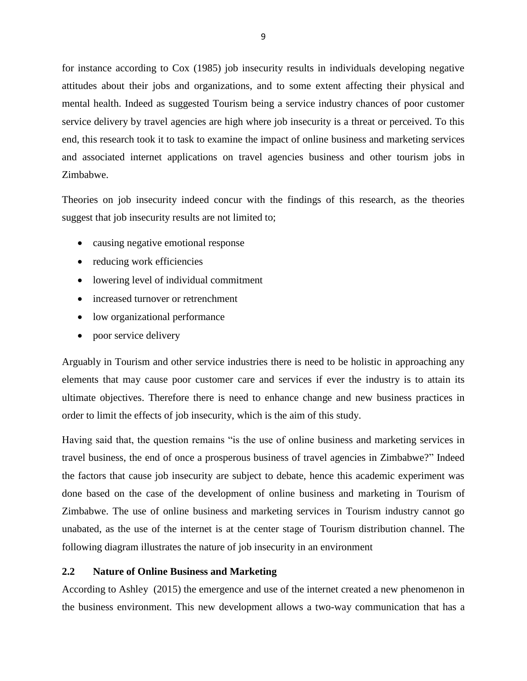for instance according to Cox (1985) job insecurity results in individuals developing negative attitudes about their jobs and organizations, and to some extent affecting their physical and mental health. Indeed as suggested Tourism being a service industry chances of poor customer service delivery by travel agencies are high where job insecurity is a threat or perceived. To this end, this research took it to task to examine the impact of online business and marketing services and associated internet applications on travel agencies business and other tourism jobs in Zimbabwe.

Theories on job insecurity indeed concur with the findings of this research, as the theories suggest that job insecurity results are not limited to;

- causing negative emotional response
- reducing work efficiencies
- lowering level of individual commitment
- increased turnover or retrenchment
- low organizational performance
- poor service delivery

Arguably in Tourism and other service industries there is need to be holistic in approaching any elements that may cause poor customer care and services if ever the industry is to attain its ultimate objectives. Therefore there is need to enhance change and new business practices in order to limit the effects of job insecurity, which is the aim of this study.

Having said that, the question remains "is the use of online business and marketing services in travel business, the end of once a prosperous business of travel agencies in Zimbabwe?" Indeed the factors that cause job insecurity are subject to debate, hence this academic experiment was done based on the case of the development of online business and marketing in Tourism of Zimbabwe. The use of online business and marketing services in Tourism industry cannot go unabated, as the use of the internet is at the center stage of Tourism distribution channel. The following diagram illustrates the nature of job insecurity in an environment

#### <span id="page-18-0"></span>**2.2 Nature of Online Business and Marketing**

According to Ashley (2015) the emergence and use of the internet created a new phenomenon in the business environment. This new development allows a two-way communication that has a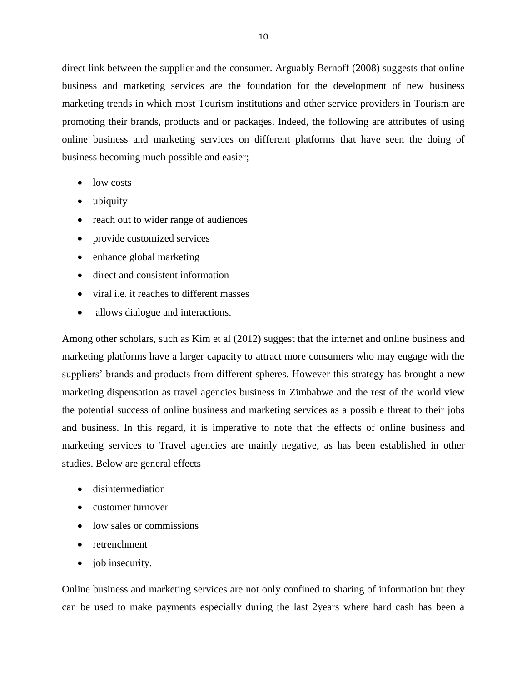direct link between the supplier and the consumer. Arguably Bernoff (2008) suggests that online business and marketing services are the foundation for the development of new business marketing trends in which most Tourism institutions and other service providers in Tourism are promoting their brands, products and or packages. Indeed, the following are attributes of using online business and marketing services on different platforms that have seen the doing of business becoming much possible and easier;

- low costs
- ubiquity
- reach out to wider range of audiences
- provide customized services
- enhance global marketing
- direct and consistent information
- viral i.e. it reaches to different masses
- allows dialogue and interactions.

Among other scholars, such as Kim et al (2012) suggest that the internet and online business and marketing platforms have a larger capacity to attract more consumers who may engage with the suppliers' brands and products from different spheres. However this strategy has brought a new marketing dispensation as travel agencies business in Zimbabwe and the rest of the world view the potential success of online business and marketing services as a possible threat to their jobs and business. In this regard, it is imperative to note that the effects of online business and marketing services to Travel agencies are mainly negative, as has been established in other studies. Below are general effects

- disintermediation
- customer turnover
- low sales or commissions
- retrenchment
- job insecurity.

Online business and marketing services are not only confined to sharing of information but they can be used to make payments especially during the last 2years where hard cash has been a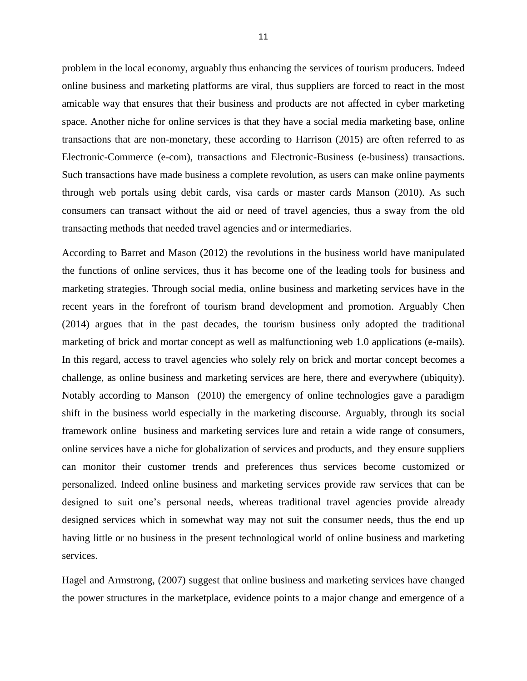problem in the local economy, arguably thus enhancing the services of tourism producers. Indeed online business and marketing platforms are viral, thus suppliers are forced to react in the most amicable way that ensures that their business and products are not affected in cyber marketing space. Another niche for online services is that they have a social media marketing base, online transactions that are non-monetary, these according to Harrison (2015) are often referred to as Electronic-Commerce (e-com), transactions and Electronic-Business (e-business) transactions. Such transactions have made business a complete revolution, as users can make online payments through web portals using debit cards, visa cards or master cards Manson (2010). As such consumers can transact without the aid or need of travel agencies, thus a sway from the old transacting methods that needed travel agencies and or intermediaries.

According to Barret and Mason (2012) the revolutions in the business world have manipulated the functions of online services, thus it has become one of the leading tools for business and marketing strategies. Through social media, online business and marketing services have in the recent years in the forefront of tourism brand development and promotion. Arguably Chen (2014) argues that in the past decades, the tourism business only adopted the traditional marketing of brick and mortar concept as well as malfunctioning web 1.0 applications (e-mails). In this regard, access to travel agencies who solely rely on brick and mortar concept becomes a challenge, as online business and marketing services are here, there and everywhere (ubiquity). Notably according to Manson (2010) the emergency of online technologies gave a paradigm shift in the business world especially in the marketing discourse. Arguably, through its social framework online business and marketing services lure and retain a wide range of consumers, online services have a niche for globalization of services and products, and they ensure suppliers can monitor their customer trends and preferences thus services become customized or personalized. Indeed online business and marketing services provide raw services that can be designed to suit one's personal needs, whereas traditional travel agencies provide already designed services which in somewhat way may not suit the consumer needs, thus the end up having little or no business in the present technological world of online business and marketing services.

Hagel and Armstrong, (2007) suggest that online business and marketing services have changed the power structures in the marketplace, evidence points to a major change and emergence of a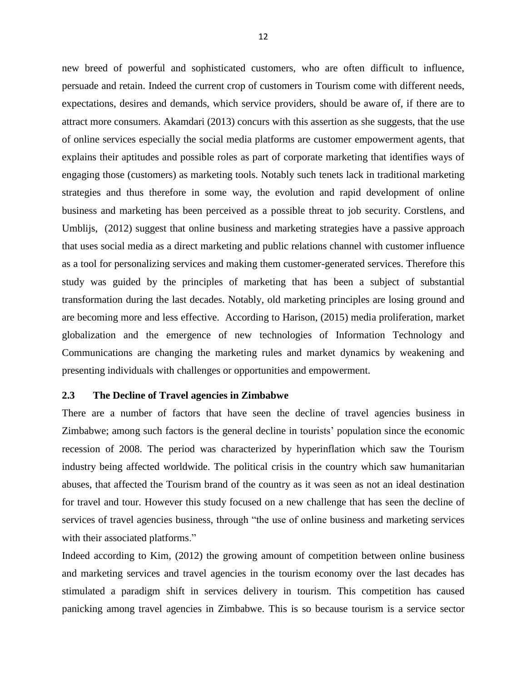new breed of powerful and sophisticated customers, who are often difficult to influence, persuade and retain. Indeed the current crop of customers in Tourism come with different needs, expectations, desires and demands, which service providers, should be aware of, if there are to attract more consumers. Akamdari (2013) concurs with this assertion as she suggests, that the use of online services especially the social media platforms are customer empowerment agents, that explains their aptitudes and possible roles as part of corporate marketing that identifies ways of engaging those (customers) as marketing tools. Notably such tenets lack in traditional marketing strategies and thus therefore in some way, the evolution and rapid development of online business and marketing has been perceived as a possible threat to job security. Corstlens, and Umblijs, (2012) suggest that online business and marketing strategies have a passive approach that uses social media as a direct marketing and public relations channel with customer influence as a tool for personalizing services and making them customer-generated services. Therefore this study was guided by the principles of marketing that has been a subject of substantial transformation during the last decades. Notably, old marketing principles are losing ground and are becoming more and less effective. According to Harison, (2015) media proliferation, market globalization and the emergence of new technologies of Information Technology and Communications are changing the marketing rules and market dynamics by weakening and presenting individuals with challenges or opportunities and empowerment.

#### <span id="page-21-0"></span>**2.3 The Decline of Travel agencies in Zimbabwe**

There are a number of factors that have seen the decline of travel agencies business in Zimbabwe; among such factors is the general decline in tourists' population since the economic recession of 2008. The period was characterized by hyperinflation which saw the Tourism industry being affected worldwide. The political crisis in the country which saw humanitarian abuses, that affected the Tourism brand of the country as it was seen as not an ideal destination for travel and tour. However this study focused on a new challenge that has seen the decline of services of travel agencies business, through "the use of online business and marketing services with their associated platforms."

Indeed according to Kim, (2012) the growing amount of competition between online business and marketing services and travel agencies in the tourism economy over the last decades has stimulated a paradigm shift in services delivery in tourism. This competition has caused panicking among travel agencies in Zimbabwe. This is so because tourism is a service sector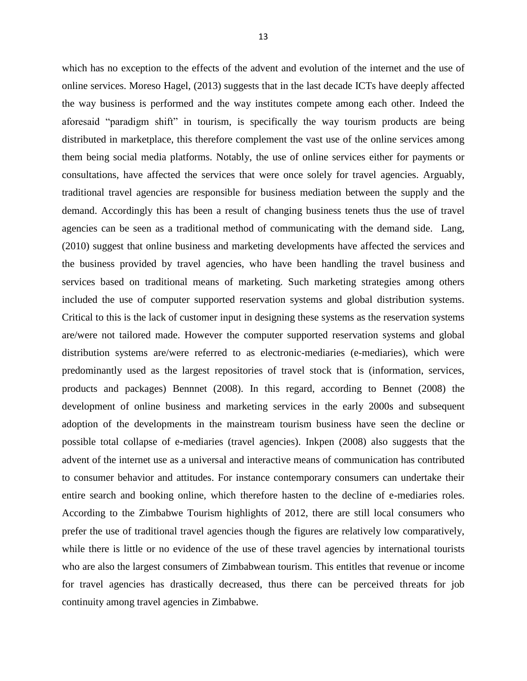which has no exception to the effects of the advent and evolution of the internet and the use of

13

online services. Moreso Hagel, (2013) suggests that in the last decade ICTs have deeply affected the way business is performed and the way institutes compete among each other. Indeed the aforesaid "paradigm shift" in tourism, is specifically the way tourism products are being distributed in marketplace, this therefore complement the vast use of the online services among them being social media platforms. Notably, the use of online services either for payments or consultations, have affected the services that were once solely for travel agencies. Arguably, traditional travel agencies are responsible for business mediation between the supply and the demand. Accordingly this has been a result of changing business tenets thus the use of travel agencies can be seen as a traditional method of communicating with the demand side. Lang, (2010) suggest that online business and marketing developments have affected the services and the business provided by travel agencies, who have been handling the travel business and services based on traditional means of marketing. Such marketing strategies among others included the use of computer supported reservation systems and global distribution systems. Critical to this is the lack of customer input in designing these systems as the reservation systems are/were not tailored made. However the computer supported reservation systems and global distribution systems are/were referred to as electronic-mediaries (e-mediaries), which were predominantly used as the largest repositories of travel stock that is (information, services, products and packages) Bennnet (2008). In this regard, according to Bennet (2008) the development of online business and marketing services in the early 2000s and subsequent adoption of the developments in the mainstream tourism business have seen the decline or possible total collapse of e-mediaries (travel agencies). Inkpen (2008) also suggests that the advent of the internet use as a universal and interactive means of communication has contributed to consumer behavior and attitudes. For instance contemporary consumers can undertake their entire search and booking online, which therefore hasten to the decline of e-mediaries roles. According to the Zimbabwe Tourism highlights of 2012, there are still local consumers who prefer the use of traditional travel agencies though the figures are relatively low comparatively, while there is little or no evidence of the use of these travel agencies by international tourists who are also the largest consumers of Zimbabwean tourism. This entitles that revenue or income for travel agencies has drastically decreased, thus there can be perceived threats for job continuity among travel agencies in Zimbabwe.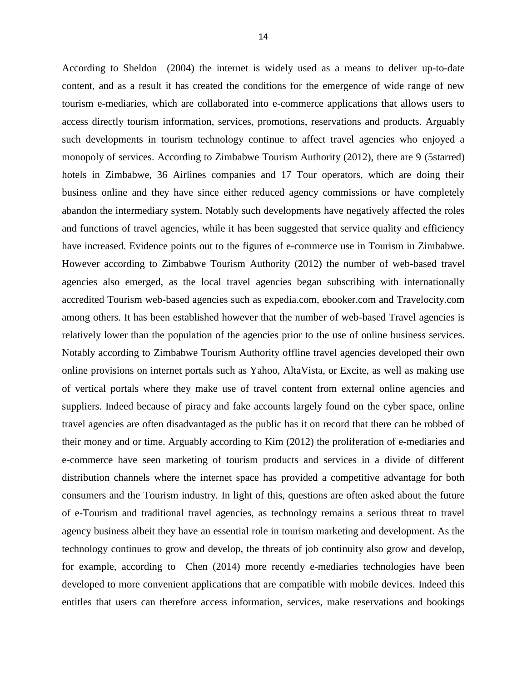According to Sheldon (2004) the internet is widely used as a means to deliver up-to-date content, and as a result it has created the conditions for the emergence of wide range of new tourism e-mediaries, which are collaborated into e-commerce applications that allows users to access directly tourism information, services, promotions, reservations and products. Arguably such developments in tourism technology continue to affect travel agencies who enjoyed a monopoly of services. According to Zimbabwe Tourism Authority (2012), there are 9 (5starred) hotels in Zimbabwe, 36 Airlines companies and 17 Tour operators, which are doing their business online and they have since either reduced agency commissions or have completely abandon the intermediary system. Notably such developments have negatively affected the roles and functions of travel agencies, while it has been suggested that service quality and efficiency have increased. Evidence points out to the figures of e-commerce use in Tourism in Zimbabwe. However according to Zimbabwe Tourism Authority (2012) the number of web-based travel agencies also emerged, as the local travel agencies began subscribing with internationally accredited Tourism web-based agencies such as expedia.com, ebooker.com and Travelocity.com among others. It has been established however that the number of web-based Travel agencies is relatively lower than the population of the agencies prior to the use of online business services. Notably according to Zimbabwe Tourism Authority offline travel agencies developed their own online provisions on internet portals such as Yahoo, AltaVista, or Excite, as well as making use of vertical portals where they make use of travel content from external online agencies and suppliers. Indeed because of piracy and fake accounts largely found on the cyber space, online travel agencies are often disadvantaged as the public has it on record that there can be robbed of their money and or time. Arguably according to Kim (2012) the proliferation of e-mediaries and e-commerce have seen marketing of tourism products and services in a divide of different distribution channels where the internet space has provided a competitive advantage for both consumers and the Tourism industry. In light of this, questions are often asked about the future of e-Tourism and traditional travel agencies, as technology remains a serious threat to travel agency business albeit they have an essential role in tourism marketing and development. As the technology continues to grow and develop, the threats of job continuity also grow and develop, for example, according to Chen (2014) more recently e-mediaries technologies have been developed to more convenient applications that are compatible with mobile devices. Indeed this entitles that users can therefore access information, services, make reservations and bookings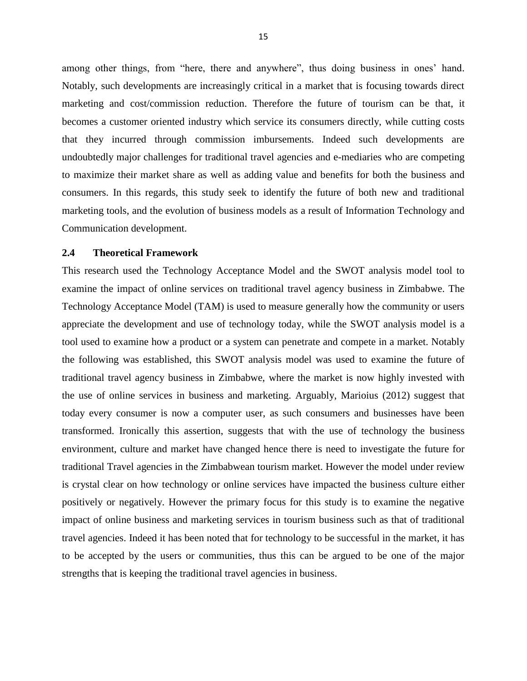among other things, from "here, there and anywhere", thus doing business in ones' hand. Notably, such developments are increasingly critical in a market that is focusing towards direct marketing and cost/commission reduction. Therefore the future of tourism can be that, it becomes a customer oriented industry which service its consumers directly, while cutting costs that they incurred through commission imbursements. Indeed such developments are undoubtedly major challenges for traditional travel agencies and e-mediaries who are competing to maximize their market share as well as adding value and benefits for both the business and consumers. In this regards, this study seek to identify the future of both new and traditional marketing tools, and the evolution of business models as a result of Information Technology and Communication development.

#### <span id="page-24-0"></span>**2.4 Theoretical Framework**

This research used the Technology Acceptance Model and the SWOT analysis model tool to examine the impact of online services on traditional travel agency business in Zimbabwe. The Technology Acceptance Model (TAM) is used to measure generally how the community or users appreciate the development and use of technology today, while the SWOT analysis model is a tool used to examine how a product or a system can penetrate and compete in a market. Notably the following was established, this SWOT analysis model was used to examine the future of traditional travel agency business in Zimbabwe, where the market is now highly invested with the use of online services in business and marketing. Arguably, Marioius (2012) suggest that today every consumer is now a computer user, as such consumers and businesses have been transformed. Ironically this assertion, suggests that with the use of technology the business environment, culture and market have changed hence there is need to investigate the future for traditional Travel agencies in the Zimbabwean tourism market. However the model under review is crystal clear on how technology or online services have impacted the business culture either positively or negatively. However the primary focus for this study is to examine the negative impact of online business and marketing services in tourism business such as that of traditional travel agencies. Indeed it has been noted that for technology to be successful in the market, it has to be accepted by the users or communities, thus this can be argued to be one of the major strengths that is keeping the traditional travel agencies in business.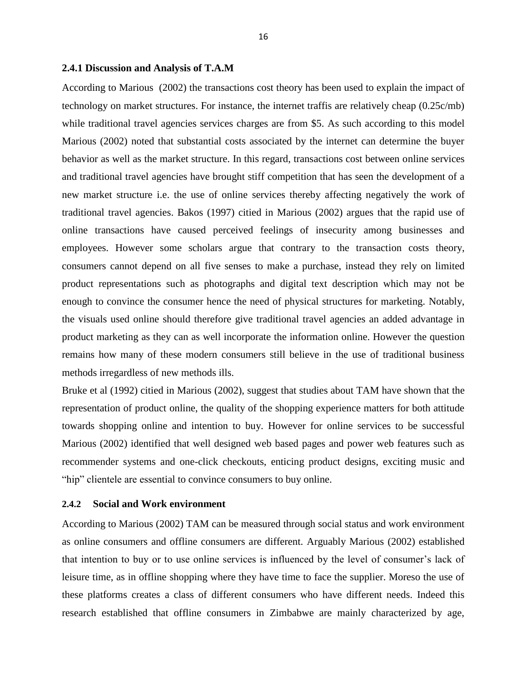#### **2.4.1 Discussion and Analysis of T.A.M**

According to Marious (2002) the transactions cost theory has been used to explain the impact of technology on market structures. For instance, the internet traffis are relatively cheap (0.25c/mb) while traditional travel agencies services charges are from \$5. As such according to this model Marious (2002) noted that substantial costs associated by the internet can determine the buyer behavior as well as the market structure. In this regard, transactions cost between online services and traditional travel agencies have brought stiff competition that has seen the development of a new market structure i.e. the use of online services thereby affecting negatively the work of traditional travel agencies. Bakos (1997) citied in Marious (2002) argues that the rapid use of online transactions have caused perceived feelings of insecurity among businesses and employees. However some scholars argue that contrary to the transaction costs theory, consumers cannot depend on all five senses to make a purchase, instead they rely on limited product representations such as photographs and digital text description which may not be enough to convince the consumer hence the need of physical structures for marketing. Notably, the visuals used online should therefore give traditional travel agencies an added advantage in product marketing as they can as well incorporate the information online. However the question remains how many of these modern consumers still believe in the use of traditional business methods irregardless of new methods ills.

Bruke et al (1992) citied in Marious (2002), suggest that studies about TAM have shown that the representation of product online, the quality of the shopping experience matters for both attitude towards shopping online and intention to buy. However for online services to be successful Marious (2002) identified that well designed web based pages and power web features such as recommender systems and one-click checkouts, enticing product designs, exciting music and "hip" clientele are essential to convince consumers to buy online.

#### **2.4.2 Social and Work environment**

According to Marious (2002) TAM can be measured through social status and work environment as online consumers and offline consumers are different. Arguably Marious (2002) established that intention to buy or to use online services is influenced by the level of consumer's lack of leisure time, as in offline shopping where they have time to face the supplier. Moreso the use of these platforms creates a class of different consumers who have different needs. Indeed this research established that offline consumers in Zimbabwe are mainly characterized by age,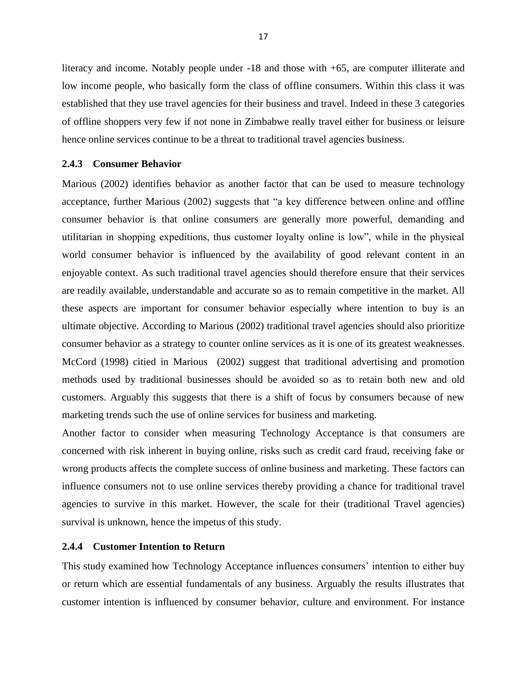literacy and income. Notably people under -18 and those with +65, are computer illiterate and low income people, who basically form the class of offline consumers. Within this class it was established that they use travel agencies for their business and travel. Indeed in these 3 categories of offline shoppers very few if not none in Zimbabwe really travel either for business or leisure hence online services continue to be a threat to traditional travel agencies business.

#### **2.4.3 Consumer Behavior**

Marious (2002) identifies behavior as another factor that can be used to measure technology acceptance, further Marious (2002) suggests that "a key difference between online and offline consumer behavior is that online consumers are generally more powerful, demanding and utilitarian in shopping expeditions, thus customer loyalty online is low", while in the physical world consumer behavior is influenced by the availability of good relevant content in an enjoyable context. As such traditional travel agencies should therefore ensure that their services are readily available, understandable and accurate so as to remain competitive in the market. All these aspects are important for consumer behavior especially where intention to buy is an ultimate objective. According to Marious (2002) traditional travel agencies should also prioritize consumer behavior as a strategy to counter online services as it is one of its greatest weaknesses. McCord (1998) citied in Marious (2002) suggest that traditional advertising and promotion methods used by traditional businesses should be avoided so as to retain both new and old customers. Arguably this suggests that there is a shift of focus by consumers because of new marketing trends such the use of online services for business and marketing.

Another factor to consider when measuring Technology Acceptance is that consumers are concerned with risk inherent in buying online, risks such as credit card fraud, receiving fake or wrong products affects the complete success of online business and marketing. These factors can influence consumers not to use online services thereby providing a chance for traditional travel agencies to survive in this market. However, the scale for their (traditional Travel agencies) survival is unknown, hence the impetus of this study.

#### **2.4.4 Customer Intention to Return**

This study examined how Technology Acceptance influences consumers' intention to either buy or return which are essential fundamentals of any business. Arguably the results illustrates that customer intention is influenced by consumer behavior, culture and environment. For instance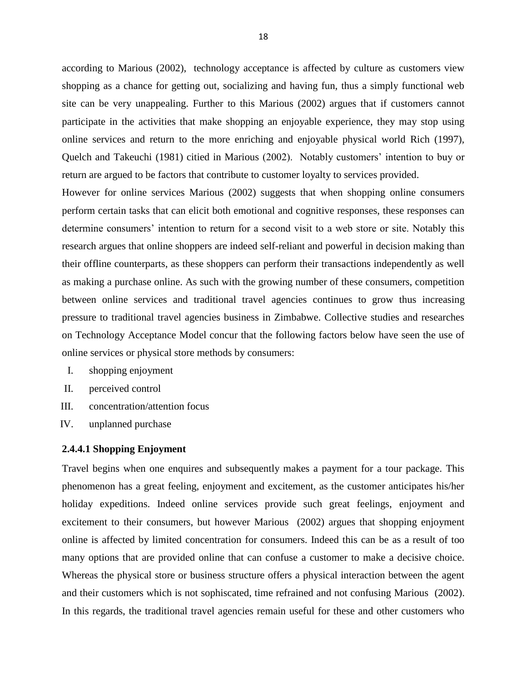according to Marious (2002), technology acceptance is affected by culture as customers view shopping as a chance for getting out, socializing and having fun, thus a simply functional web site can be very unappealing. Further to this Marious (2002) argues that if customers cannot participate in the activities that make shopping an enjoyable experience, they may stop using online services and return to the more enriching and enjoyable physical world Rich (1997), Quelch and Takeuchi (1981) citied in Marious (2002). Notably customers' intention to buy or return are argued to be factors that contribute to customer loyalty to services provided.

However for online services Marious (2002) suggests that when shopping online consumers perform certain tasks that can elicit both emotional and cognitive responses, these responses can determine consumers' intention to return for a second visit to a web store or site. Notably this research argues that online shoppers are indeed self-reliant and powerful in decision making than their offline counterparts, as these shoppers can perform their transactions independently as well as making a purchase online. As such with the growing number of these consumers, competition between online services and traditional travel agencies continues to grow thus increasing pressure to traditional travel agencies business in Zimbabwe. Collective studies and researches on Technology Acceptance Model concur that the following factors below have seen the use of online services or physical store methods by consumers:

- I. shopping enjoyment
- II. perceived control
- III. concentration/attention focus
- IV. unplanned purchase

#### **2.4.4.1 Shopping Enjoyment**

Travel begins when one enquires and subsequently makes a payment for a tour package. This phenomenon has a great feeling, enjoyment and excitement, as the customer anticipates his/her holiday expeditions. Indeed online services provide such great feelings, enjoyment and excitement to their consumers, but however Marious (2002) argues that shopping enjoyment online is affected by limited concentration for consumers. Indeed this can be as a result of too many options that are provided online that can confuse a customer to make a decisive choice. Whereas the physical store or business structure offers a physical interaction between the agent and their customers which is not sophiscated, time refrained and not confusing Marious (2002). In this regards, the traditional travel agencies remain useful for these and other customers who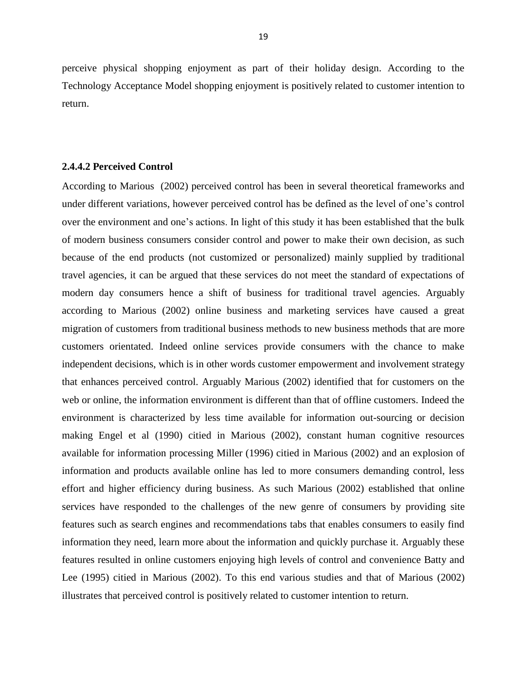perceive physical shopping enjoyment as part of their holiday design. According to the Technology Acceptance Model shopping enjoyment is positively related to customer intention to return.

#### **2.4.4.2 Perceived Control**

According to Marious (2002) perceived control has been in several theoretical frameworks and under different variations, however perceived control has be defined as the level of one's control over the environment and one's actions. In light of this study it has been established that the bulk of modern business consumers consider control and power to make their own decision, as such because of the end products (not customized or personalized) mainly supplied by traditional travel agencies, it can be argued that these services do not meet the standard of expectations of modern day consumers hence a shift of business for traditional travel agencies. Arguably according to Marious (2002) online business and marketing services have caused a great migration of customers from traditional business methods to new business methods that are more customers orientated. Indeed online services provide consumers with the chance to make independent decisions, which is in other words customer empowerment and involvement strategy that enhances perceived control. Arguably Marious (2002) identified that for customers on the web or online, the information environment is different than that of offline customers. Indeed the environment is characterized by less time available for information out-sourcing or decision making Engel et al (1990) citied in Marious (2002), constant human cognitive resources available for information processing Miller (1996) citied in Marious (2002) and an explosion of information and products available online has led to more consumers demanding control, less effort and higher efficiency during business. As such Marious (2002) established that online services have responded to the challenges of the new genre of consumers by providing site features such as search engines and recommendations tabs that enables consumers to easily find information they need, learn more about the information and quickly purchase it. Arguably these features resulted in online customers enjoying high levels of control and convenience Batty and Lee (1995) citied in Marious (2002). To this end various studies and that of Marious (2002) illustrates that perceived control is positively related to customer intention to return.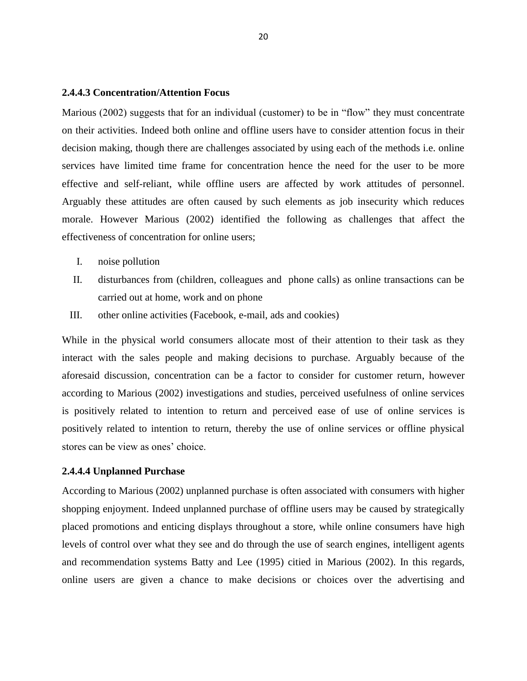#### **2.4.4.3 Concentration/Attention Focus**

Marious (2002) suggests that for an individual (customer) to be in "flow" they must concentrate on their activities. Indeed both online and offline users have to consider attention focus in their decision making, though there are challenges associated by using each of the methods i.e. online services have limited time frame for concentration hence the need for the user to be more effective and self-reliant, while offline users are affected by work attitudes of personnel. Arguably these attitudes are often caused by such elements as job insecurity which reduces morale. However Marious (2002) identified the following as challenges that affect the effectiveness of concentration for online users;

- I. noise pollution
- II. disturbances from (children, colleagues and phone calls) as online transactions can be carried out at home, work and on phone
- III. other online activities (Facebook, e-mail, ads and cookies)

While in the physical world consumers allocate most of their attention to their task as they interact with the sales people and making decisions to purchase. Arguably because of the aforesaid discussion, concentration can be a factor to consider for customer return, however according to Marious (2002) investigations and studies, perceived usefulness of online services is positively related to intention to return and perceived ease of use of online services is positively related to intention to return, thereby the use of online services or offline physical stores can be view as ones' choice.

#### **2.4.4.4 Unplanned Purchase**

According to Marious (2002) unplanned purchase is often associated with consumers with higher shopping enjoyment. Indeed unplanned purchase of offline users may be caused by strategically placed promotions and enticing displays throughout a store, while online consumers have high levels of control over what they see and do through the use of search engines, intelligent agents and recommendation systems Batty and Lee (1995) citied in Marious (2002). In this regards, online users are given a chance to make decisions or choices over the advertising and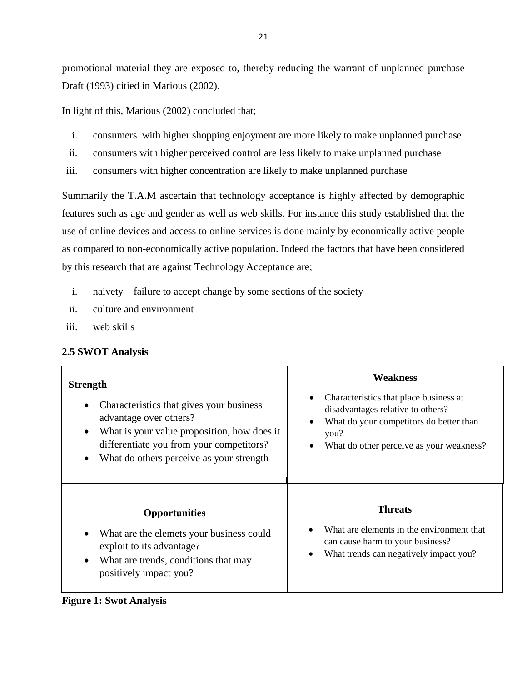promotional material they are exposed to, thereby reducing the warrant of unplanned purchase Draft (1993) citied in Marious (2002).

In light of this, Marious (2002) concluded that;

- i. consumers with higher shopping enjoyment are more likely to make unplanned purchase
- ii. consumers with higher perceived control are less likely to make unplanned purchase
- iii. consumers with higher concentration are likely to make unplanned purchase

Summarily the T.A.M ascertain that technology acceptance is highly affected by demographic features such as age and gender as well as web skills. For instance this study established that the use of online devices and access to online services is done mainly by economically active people as compared to non-economically active population. Indeed the factors that have been considered by this research that are against Technology Acceptance are;

- i. naivety failure to accept change by some sections of the society
- ii. culture and environment
- iii. web skills

#### <span id="page-30-0"></span>**2.5 SWOT Analysis**

| <b>Strength</b><br>Characteristics that gives your business<br>advantage over others?<br>What is your value proposition, how does it<br>٠<br>differentiate you from your competitors?<br>What do others perceive as your strength | <b>Weakness</b><br>Characteristics that place business at<br>disadvantages relative to others?<br>What do your competitors do better than<br>$\bullet$<br>you?<br>What do other perceive as your weakness?<br>٠ |
|-----------------------------------------------------------------------------------------------------------------------------------------------------------------------------------------------------------------------------------|-----------------------------------------------------------------------------------------------------------------------------------------------------------------------------------------------------------------|
| <b>Opportunities</b><br>What are the elemets your business could<br>exploit to its advantage?<br>What are trends, conditions that may<br>positively impact you?                                                                   | <b>Threats</b><br>What are elements in the environment that<br>can cause harm to your business?<br>What trends can negatively impact you?                                                                       |

#### <span id="page-30-1"></span>**Figure 1: Swot Analysis**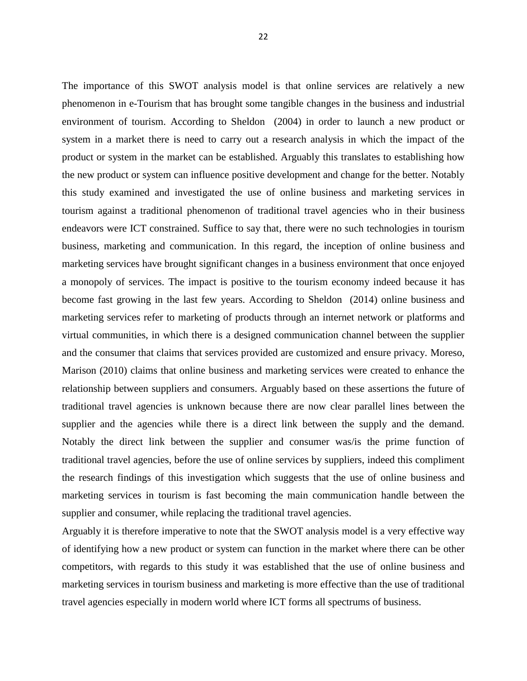The importance of this SWOT analysis model is that online services are relatively a new phenomenon in e-Tourism that has brought some tangible changes in the business and industrial environment of tourism. According to Sheldon (2004) in order to launch a new product or system in a market there is need to carry out a research analysis in which the impact of the product or system in the market can be established. Arguably this translates to establishing how the new product or system can influence positive development and change for the better. Notably this study examined and investigated the use of online business and marketing services in tourism against a traditional phenomenon of traditional travel agencies who in their business endeavors were ICT constrained. Suffice to say that, there were no such technologies in tourism business, marketing and communication. In this regard, the inception of online business and marketing services have brought significant changes in a business environment that once enjoyed a monopoly of services. The impact is positive to the tourism economy indeed because it has become fast growing in the last few years. According to Sheldon (2014) online business and marketing services refer to marketing of products through an internet network or platforms and virtual communities, in which there is a designed communication channel between the supplier and the consumer that claims that services provided are customized and ensure privacy. Moreso, Marison (2010) claims that online business and marketing services were created to enhance the relationship between suppliers and consumers. Arguably based on these assertions the future of traditional travel agencies is unknown because there are now clear parallel lines between the supplier and the agencies while there is a direct link between the supply and the demand. Notably the direct link between the supplier and consumer was/is the prime function of traditional travel agencies, before the use of online services by suppliers, indeed this compliment the research findings of this investigation which suggests that the use of online business and marketing services in tourism is fast becoming the main communication handle between the supplier and consumer, while replacing the traditional travel agencies.

Arguably it is therefore imperative to note that the SWOT analysis model is a very effective way of identifying how a new product or system can function in the market where there can be other competitors, with regards to this study it was established that the use of online business and marketing services in tourism business and marketing is more effective than the use of traditional travel agencies especially in modern world where ICT forms all spectrums of business.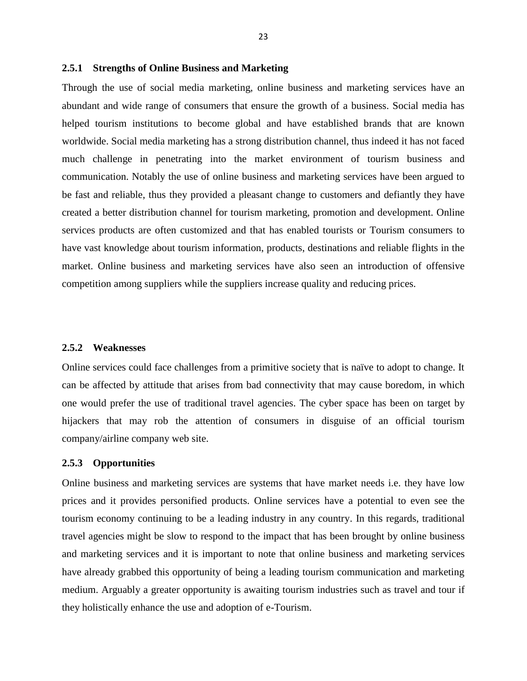#### **2.5.1 Strengths of Online Business and Marketing**

Through the use of social media marketing, online business and marketing services have an abundant and wide range of consumers that ensure the growth of a business. Social media has helped tourism institutions to become global and have established brands that are known worldwide. Social media marketing has a strong distribution channel, thus indeed it has not faced much challenge in penetrating into the market environment of tourism business and communication. Notably the use of online business and marketing services have been argued to be fast and reliable, thus they provided a pleasant change to customers and defiantly they have created a better distribution channel for tourism marketing, promotion and development. Online services products are often customized and that has enabled tourists or Tourism consumers to have vast knowledge about tourism information, products, destinations and reliable flights in the market. Online business and marketing services have also seen an introduction of offensive competition among suppliers while the suppliers increase quality and reducing prices.

#### **2.5.2 Weaknesses**

Online services could face challenges from a primitive society that is naïve to adopt to change. It can be affected by attitude that arises from bad connectivity that may cause boredom, in which one would prefer the use of traditional travel agencies. The cyber space has been on target by hijackers that may rob the attention of consumers in disguise of an official tourism company/airline company web site.

#### **2.5.3 Opportunities**

Online business and marketing services are systems that have market needs i.e. they have low prices and it provides personified products. Online services have a potential to even see the tourism economy continuing to be a leading industry in any country. In this regards, traditional travel agencies might be slow to respond to the impact that has been brought by online business and marketing services and it is important to note that online business and marketing services have already grabbed this opportunity of being a leading tourism communication and marketing medium. Arguably a greater opportunity is awaiting tourism industries such as travel and tour if they holistically enhance the use and adoption of e-Tourism.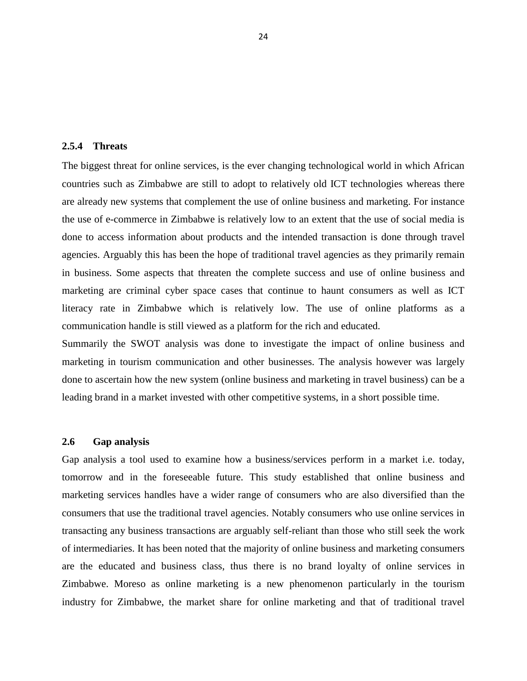#### **2.5.4 Threats**

The biggest threat for online services, is the ever changing technological world in which African countries such as Zimbabwe are still to adopt to relatively old ICT technologies whereas there are already new systems that complement the use of online business and marketing. For instance the use of e-commerce in Zimbabwe is relatively low to an extent that the use of social media is done to access information about products and the intended transaction is done through travel agencies. Arguably this has been the hope of traditional travel agencies as they primarily remain in business. Some aspects that threaten the complete success and use of online business and marketing are criminal cyber space cases that continue to haunt consumers as well as ICT literacy rate in Zimbabwe which is relatively low. The use of online platforms as a communication handle is still viewed as a platform for the rich and educated.

Summarily the SWOT analysis was done to investigate the impact of online business and marketing in tourism communication and other businesses. The analysis however was largely done to ascertain how the new system (online business and marketing in travel business) can be a leading brand in a market invested with other competitive systems, in a short possible time.

#### <span id="page-33-0"></span>**2.6 Gap analysis**

Gap analysis a tool used to examine how a business/services perform in a market i.e. today, tomorrow and in the foreseeable future. This study established that online business and marketing services handles have a wider range of consumers who are also diversified than the consumers that use the traditional travel agencies. Notably consumers who use online services in transacting any business transactions are arguably self-reliant than those who still seek the work of intermediaries. It has been noted that the majority of online business and marketing consumers are the educated and business class, thus there is no brand loyalty of online services in Zimbabwe. Moreso as online marketing is a new phenomenon particularly in the tourism industry for Zimbabwe, the market share for online marketing and that of traditional travel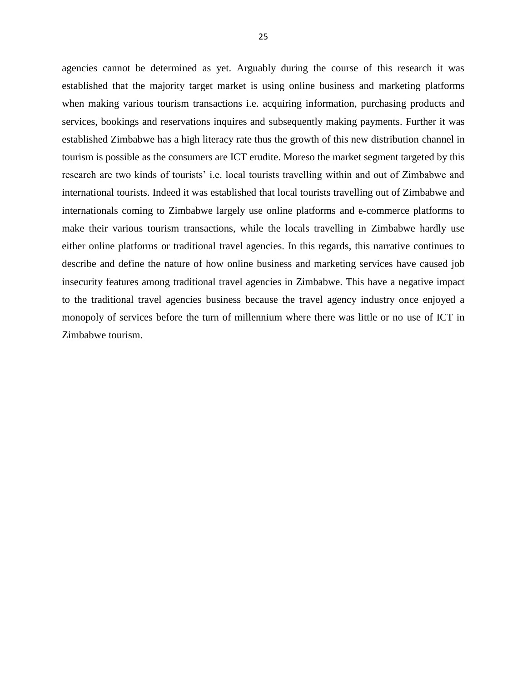agencies cannot be determined as yet. Arguably during the course of this research it was established that the majority target market is using online business and marketing platforms when making various tourism transactions i.e. acquiring information, purchasing products and services, bookings and reservations inquires and subsequently making payments. Further it was established Zimbabwe has a high literacy rate thus the growth of this new distribution channel in tourism is possible as the consumers are ICT erudite. Moreso the market segment targeted by this research are two kinds of tourists' i.e. local tourists travelling within and out of Zimbabwe and international tourists. Indeed it was established that local tourists travelling out of Zimbabwe and internationals coming to Zimbabwe largely use online platforms and e-commerce platforms to make their various tourism transactions, while the locals travelling in Zimbabwe hardly use either online platforms or traditional travel agencies. In this regards, this narrative continues to describe and define the nature of how online business and marketing services have caused job insecurity features among traditional travel agencies in Zimbabwe. This have a negative impact to the traditional travel agencies business because the travel agency industry once enjoyed a monopoly of services before the turn of millennium where there was little or no use of ICT in Zimbabwe tourism.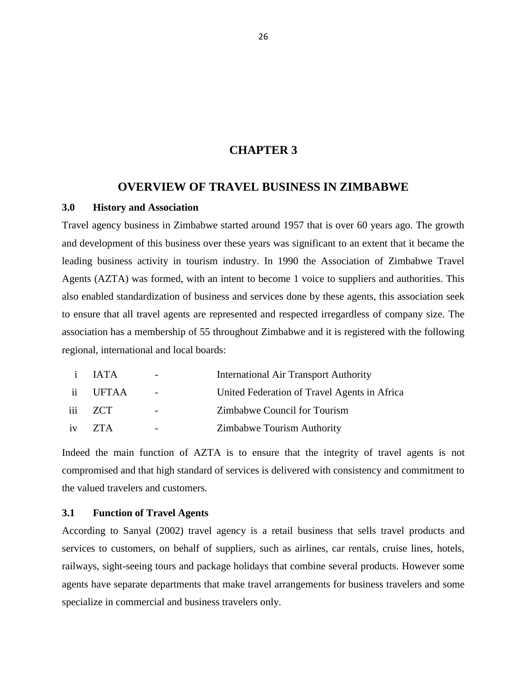#### **CHAPTER 3**

#### **OVERVIEW OF TRAVEL BUSINESS IN ZIMBABWE**

#### <span id="page-35-1"></span><span id="page-35-0"></span>**3.0 History and Association**

Travel agency business in Zimbabwe started around 1957 that is over 60 years ago. The growth and development of this business over these years was significant to an extent that it became the leading business activity in tourism industry. In 1990 the Association of Zimbabwe Travel Agents (AZTA) was formed, with an intent to become 1 voice to suppliers and authorities. This also enabled standardization of business and services done by these agents, this association seek to ensure that all travel agents are represented and respected irregardless of company size. The association has a membership of 55 throughout Zimbabwe and it is registered with the following regional, international and local boards:

| $\mathbf{i}$ | <b>JATA</b> | $\overline{\phantom{0}}$ | <b>International Air Transport Authority</b> |
|--------------|-------------|--------------------------|----------------------------------------------|
|              | ii UFTAA    | $\overline{\phantom{a}}$ | United Federation of Travel Agents in Africa |
|              | iii ZCT     | $\overline{\phantom{0}}$ | Zimbabwe Council for Tourism                 |
| iv           | ZTA         |                          | <b>Zimbabwe Tourism Authority</b>            |

Indeed the main function of AZTA is to ensure that the integrity of travel agents is not compromised and that high standard of services is delivered with consistency and commitment to the valued travelers and customers.

#### <span id="page-35-2"></span>**3.1 Function of Travel Agents**

According to Sanyal (2002) travel agency is a retail business that sells travel products and services to customers, on behalf of suppliers, such as airlines, car rentals, cruise lines, hotels, railways, sight-seeing tours and package holidays that combine several products. However some agents have separate departments that make travel arrangements for business travelers and some specialize in commercial and business travelers only.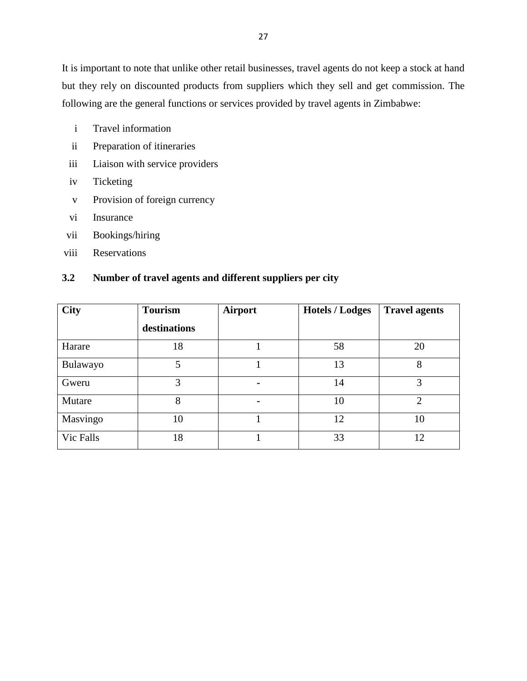It is important to note that unlike other retail businesses, travel agents do not keep a stock at hand but they rely on discounted products from suppliers which they sell and get commission. The following are the general functions or services provided by travel agents in Zimbabwe:

- i Travel information
- ii Preparation of itineraries
- iii Liaison with service providers
- iv Ticketing
- v Provision of foreign currency
- vi Insurance
- vii Bookings/hiring
- viii Reservations

## **3.2 Number of travel agents and different suppliers per city**

| <b>City</b> | <b>Tourism</b> | <b>Airport</b> | <b>Hotels / Lodges</b> | <b>Travel agents</b> |
|-------------|----------------|----------------|------------------------|----------------------|
|             | destinations   |                |                        |                      |
| Harare      | 18             |                | 58                     | 20                   |
| Bulawayo    | 5              |                | 13                     | 8                    |
| Gweru       | 3              | $\blacksquare$ | 14                     | 3                    |
| Mutare      | 8              | $\blacksquare$ | 10                     | $\mathcal{D}$        |
| Masvingo    | 10             |                | 12                     | 10                   |
| Vic Falls   | 18             |                | 33                     | 12                   |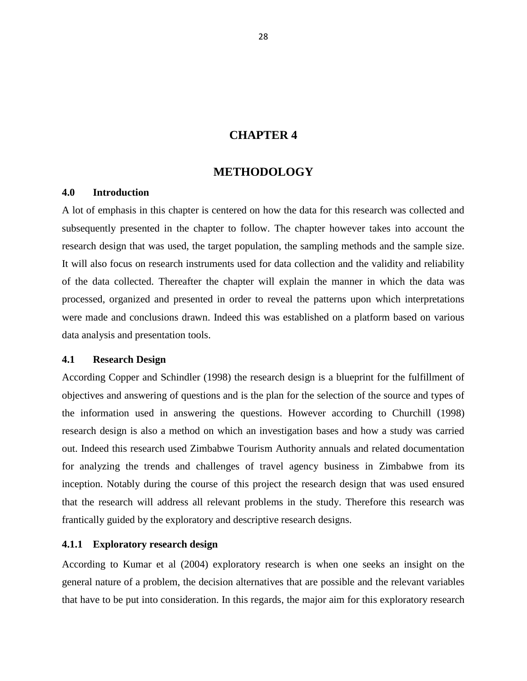## **CHAPTER 4**

## **METHODOLOGY**

#### **4.0 Introduction**

A lot of emphasis in this chapter is centered on how the data for this research was collected and subsequently presented in the chapter to follow. The chapter however takes into account the research design that was used, the target population, the sampling methods and the sample size. It will also focus on research instruments used for data collection and the validity and reliability of the data collected. Thereafter the chapter will explain the manner in which the data was processed, organized and presented in order to reveal the patterns upon which interpretations were made and conclusions drawn. Indeed this was established on a platform based on various data analysis and presentation tools.

### **4.1 Research Design**

According Copper and Schindler (1998) the research design is a blueprint for the fulfillment of objectives and answering of questions and is the plan for the selection of the source and types of the information used in answering the questions. However according to Churchill (1998) research design is also a method on which an investigation bases and how a study was carried out. Indeed this research used Zimbabwe Tourism Authority annuals and related documentation for analyzing the trends and challenges of travel agency business in Zimbabwe from its inception. Notably during the course of this project the research design that was used ensured that the research will address all relevant problems in the study. Therefore this research was frantically guided by the exploratory and descriptive research designs.

#### **4.1.1 Exploratory research design**

According to Kumar et al (2004) exploratory research is when one seeks an insight on the general nature of a problem, the decision alternatives that are possible and the relevant variables that have to be put into consideration. In this regards, the major aim for this exploratory research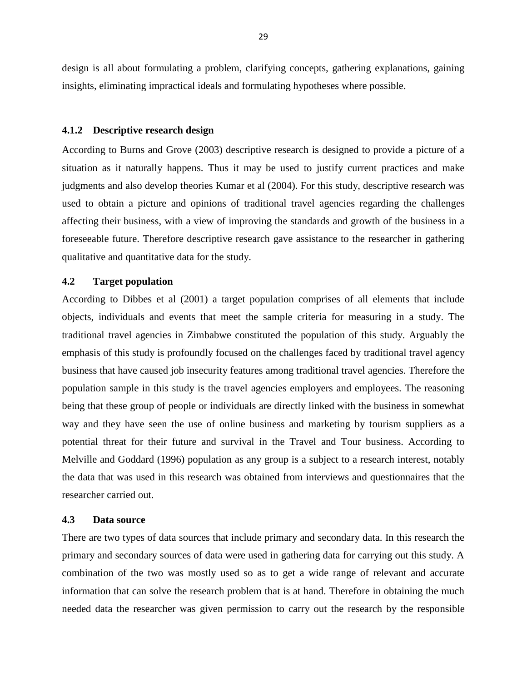design is all about formulating a problem, clarifying concepts, gathering explanations, gaining insights, eliminating impractical ideals and formulating hypotheses where possible.

#### **4.1.2 Descriptive research design**

According to Burns and Grove (2003) descriptive research is designed to provide a picture of a situation as it naturally happens. Thus it may be used to justify current practices and make judgments and also develop theories Kumar et al (2004). For this study, descriptive research was used to obtain a picture and opinions of traditional travel agencies regarding the challenges affecting their business, with a view of improving the standards and growth of the business in a foreseeable future. Therefore descriptive research gave assistance to the researcher in gathering qualitative and quantitative data for the study.

## **4.2 Target population**

According to Dibbes et al (2001) a target population comprises of all elements that include objects, individuals and events that meet the sample criteria for measuring in a study. The traditional travel agencies in Zimbabwe constituted the population of this study. Arguably the emphasis of this study is profoundly focused on the challenges faced by traditional travel agency business that have caused job insecurity features among traditional travel agencies. Therefore the population sample in this study is the travel agencies employers and employees. The reasoning being that these group of people or individuals are directly linked with the business in somewhat way and they have seen the use of online business and marketing by tourism suppliers as a potential threat for their future and survival in the Travel and Tour business. According to Melville and Goddard (1996) population as any group is a subject to a research interest, notably the data that was used in this research was obtained from interviews and questionnaires that the researcher carried out.

#### **4.3 Data source**

There are two types of data sources that include primary and secondary data. In this research the primary and secondary sources of data were used in gathering data for carrying out this study. A combination of the two was mostly used so as to get a wide range of relevant and accurate information that can solve the research problem that is at hand. Therefore in obtaining the much needed data the researcher was given permission to carry out the research by the responsible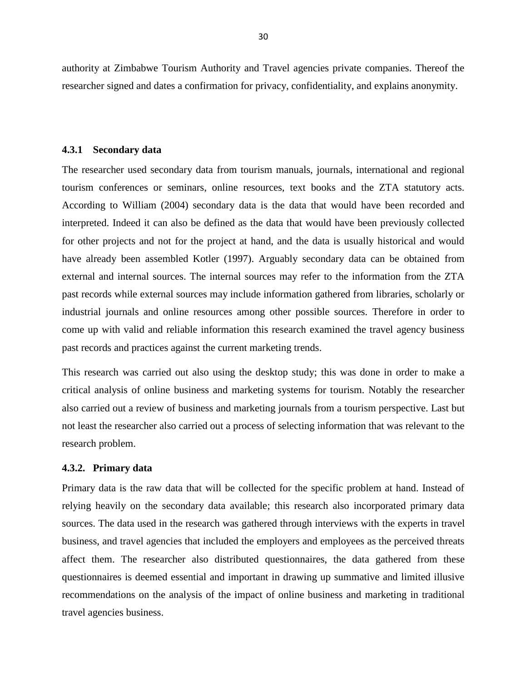authority at Zimbabwe Tourism Authority and Travel agencies private companies. Thereof the researcher signed and dates a confirmation for privacy, confidentiality, and explains anonymity.

#### **4.3.1 Secondary data**

The researcher used secondary data from tourism manuals, journals, international and regional tourism conferences or seminars, online resources, text books and the ZTA statutory acts. According to William (2004) secondary data is the data that would have been recorded and interpreted. Indeed it can also be defined as the data that would have been previously collected for other projects and not for the project at hand, and the data is usually historical and would have already been assembled Kotler (1997). Arguably secondary data can be obtained from external and internal sources. The internal sources may refer to the information from the ZTA past records while external sources may include information gathered from libraries, scholarly or industrial journals and online resources among other possible sources. Therefore in order to come up with valid and reliable information this research examined the travel agency business past records and practices against the current marketing trends.

This research was carried out also using the desktop study; this was done in order to make a critical analysis of online business and marketing systems for tourism. Notably the researcher also carried out a review of business and marketing journals from a tourism perspective. Last but not least the researcher also carried out a process of selecting information that was relevant to the research problem.

#### **4.3.2. Primary data**

Primary data is the raw data that will be collected for the specific problem at hand. Instead of relying heavily on the secondary data available; this research also incorporated primary data sources. The data used in the research was gathered through interviews with the experts in travel business, and travel agencies that included the employers and employees as the perceived threats affect them. The researcher also distributed questionnaires, the data gathered from these questionnaires is deemed essential and important in drawing up summative and limited illusive recommendations on the analysis of the impact of online business and marketing in traditional travel agencies business.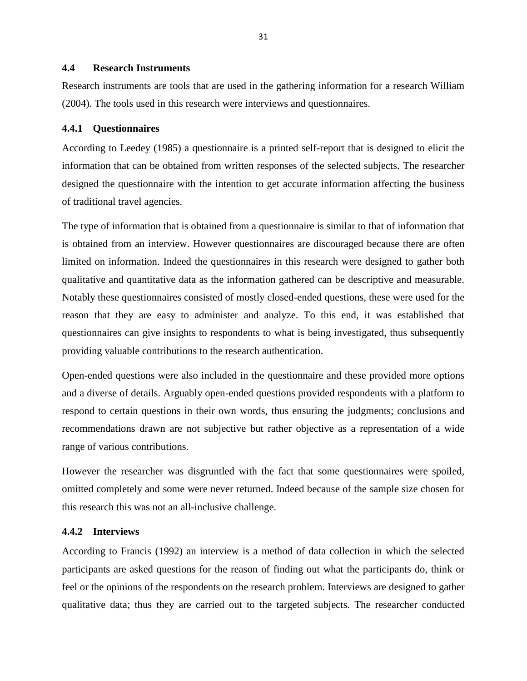## **4.4 Research Instruments**

Research instruments are tools that are used in the gathering information for a research William (2004). The tools used in this research were interviews and questionnaires.

#### **4.4.1 Questionnaires**

According to Leedey (1985) a questionnaire is a printed self-report that is designed to elicit the information that can be obtained from written responses of the selected subjects. The researcher designed the questionnaire with the intention to get accurate information affecting the business of traditional travel agencies.

The type of information that is obtained from a questionnaire is similar to that of information that is obtained from an interview. However questionnaires are discouraged because there are often limited on information. Indeed the questionnaires in this research were designed to gather both qualitative and quantitative data as the information gathered can be descriptive and measurable. Notably these questionnaires consisted of mostly closed-ended questions, these were used for the reason that they are easy to administer and analyze. To this end, it was established that questionnaires can give insights to respondents to what is being investigated, thus subsequently providing valuable contributions to the research authentication.

Open-ended questions were also included in the questionnaire and these provided more options and a diverse of details. Arguably open-ended questions provided respondents with a platform to respond to certain questions in their own words, thus ensuring the judgments; conclusions and recommendations drawn are not subjective but rather objective as a representation of a wide range of various contributions.

However the researcher was disgruntled with the fact that some questionnaires were spoiled, omitted completely and some were never returned. Indeed because of the sample size chosen for this research this was not an all-inclusive challenge.

#### **4.4.2 Interviews**

According to Francis (1992) an interview is a method of data collection in which the selected participants are asked questions for the reason of finding out what the participants do, think or feel or the opinions of the respondents on the research problem. Interviews are designed to gather qualitative data; thus they are carried out to the targeted subjects. The researcher conducted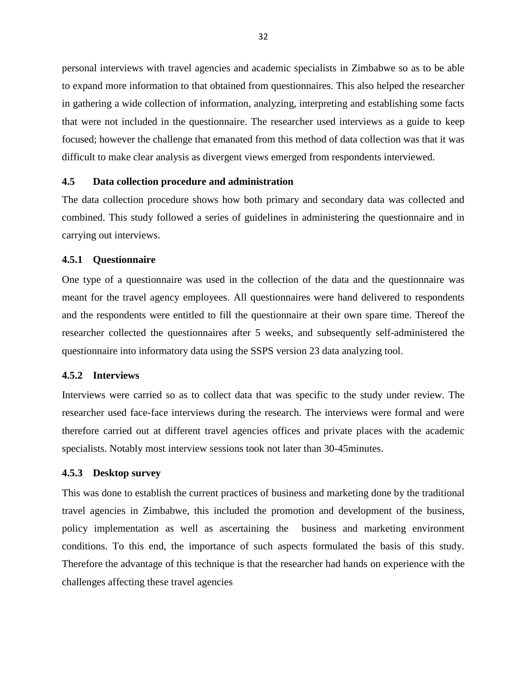personal interviews with travel agencies and academic specialists in Zimbabwe so as to be able to expand more information to that obtained from questionnaires. This also helped the researcher in gathering a wide collection of information, analyzing, interpreting and establishing some facts that were not included in the questionnaire. The researcher used interviews as a guide to keep focused; however the challenge that emanated from this method of data collection was that it was difficult to make clear analysis as divergent views emerged from respondents interviewed.

#### **4.5 Data collection procedure and administration**

The data collection procedure shows how both primary and secondary data was collected and combined. This study followed a series of guidelines in administering the questionnaire and in carrying out interviews.

#### **4.5.1 Questionnaire**

One type of a questionnaire was used in the collection of the data and the questionnaire was meant for the travel agency employees. All questionnaires were hand delivered to respondents and the respondents were entitled to fill the questionnaire at their own spare time. Thereof the researcher collected the questionnaires after 5 weeks, and subsequently self-administered the questionnaire into informatory data using the SSPS version 23 data analyzing tool.

#### **4.5.2 Interviews**

Interviews were carried so as to collect data that was specific to the study under review. The researcher used face-face interviews during the research. The interviews were formal and were therefore carried out at different travel agencies offices and private places with the academic specialists. Notably most interview sessions took not later than 30-45minutes.

#### **4.5.3 Desktop survey**

This was done to establish the current practices of business and marketing done by the traditional travel agencies in Zimbabwe, this included the promotion and development of the business, policy implementation as well as ascertaining the business and marketing environment conditions. To this end, the importance of such aspects formulated the basis of this study. Therefore the advantage of this technique is that the researcher had hands on experience with the challenges affecting these travel agencies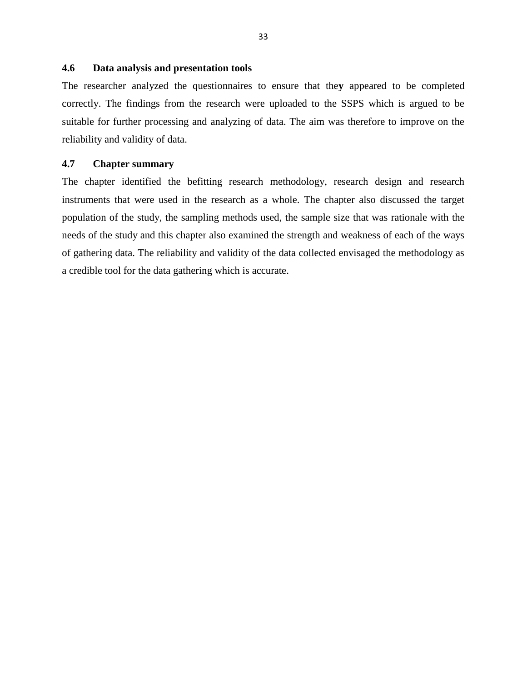## **4.6 Data analysis and presentation tools**

The researcher analyzed the questionnaires to ensure that the**y** appeared to be completed correctly. The findings from the research were uploaded to the SSPS which is argued to be suitable for further processing and analyzing of data. The aim was therefore to improve on the reliability and validity of data.

#### **4.7 Chapter summary**

The chapter identified the befitting research methodology, research design and research instruments that were used in the research as a whole. The chapter also discussed the target population of the study, the sampling methods used, the sample size that was rationale with the needs of the study and this chapter also examined the strength and weakness of each of the ways of gathering data. The reliability and validity of the data collected envisaged the methodology as a credible tool for the data gathering which is accurate.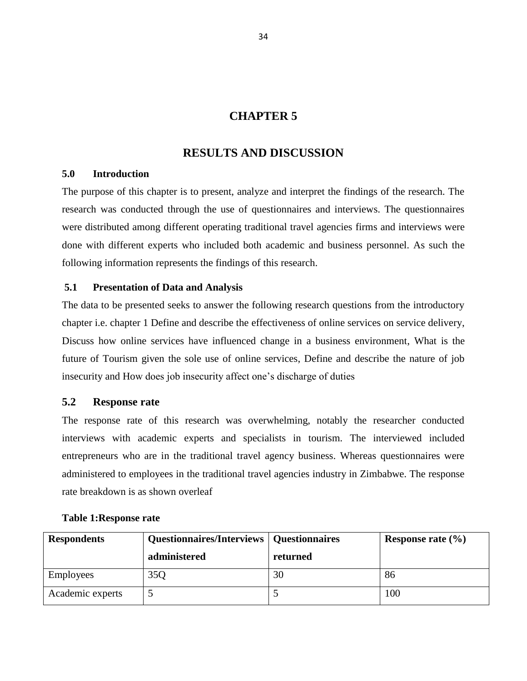## **CHAPTER 5**

## **RESULTS AND DISCUSSION**

## **5.0 Introduction**

The purpose of this chapter is to present, analyze and interpret the findings of the research. The research was conducted through the use of questionnaires and interviews. The questionnaires were distributed among different operating traditional travel agencies firms and interviews were done with different experts who included both academic and business personnel. As such the following information represents the findings of this research.

## **5.1 Presentation of Data and Analysis**

The data to be presented seeks to answer the following research questions from the introductory chapter i.e. chapter 1 Define and describe the effectiveness of online services on service delivery, Discuss how online services have influenced change in a business environment, What is the future of Tourism given the sole use of online services, Define and describe the nature of job insecurity and How does job insecurity affect one's discharge of duties

## **5.2 Response rate**

The response rate of this research was overwhelming, notably the researcher conducted interviews with academic experts and specialists in tourism. The interviewed included entrepreneurs who are in the traditional travel agency business. Whereas questionnaires were administered to employees in the traditional travel agencies industry in Zimbabwe. The response rate breakdown is as shown overleaf

| <b>Respondents</b> | Questionnaires/Interviews   Questionnaires |          | Response rate $(\% )$ |
|--------------------|--------------------------------------------|----------|-----------------------|
|                    | administered                               | returned |                       |
| <b>Employees</b>   | 35Q                                        | 30       | 86                    |
| Academic experts   |                                            |          | 100                   |

## **Table 1:Response rate**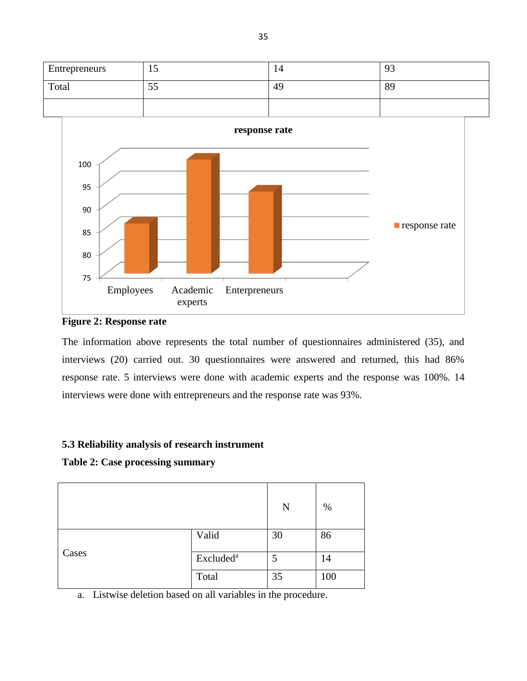

**Figure 2: Response rate**

The information above represents the total number of questionnaires administered (35), and interviews (20) carried out. 30 questionnaires were answered and returned, this had 86% response rate. 5 interviews were done with academic experts and the response was 100%. 14 interviews were done with entrepreneurs and the response rate was 93%.

## **5.3 Reliability analysis of research instrument**

## **Table 2: Case processing summary**

|       |                       | N  | $\%$ |
|-------|-----------------------|----|------|
|       | Valid                 | 30 | 86   |
| Cases | Excluded <sup>a</sup> | 5  | 14   |
|       | Total                 | 35 | 100  |

a. Listwise deletion based on all variables in the procedure.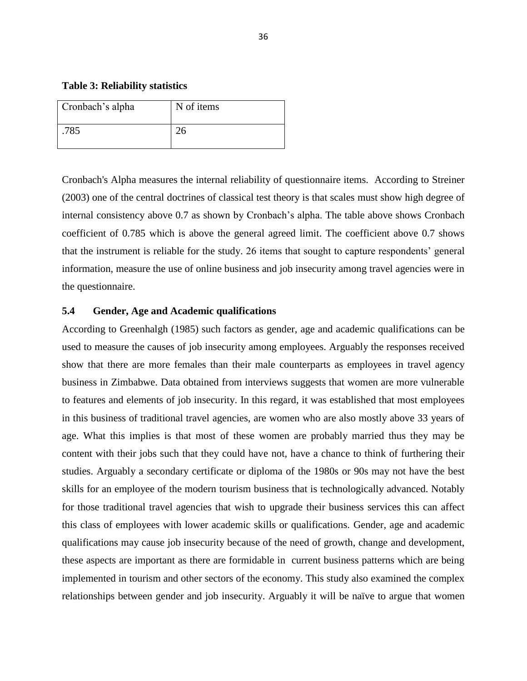**Table 3: Reliability statistics**

| Cronbach's alpha | N of items |
|------------------|------------|
| .785             |            |

Cronbach's Alpha measures the internal reliability of questionnaire items. According to Streiner (2003) one of the central doctrines of classical test theory is that scales must show high degree of internal consistency above 0.7 as shown by Cronbach's alpha. The table above shows Cronbach coefficient of 0.785 which is above the general agreed limit. The coefficient above 0.7 shows that the instrument is reliable for the study. 26 items that sought to capture respondents' general information, measure the use of online business and job insecurity among travel agencies were in the questionnaire.

### **5.4 Gender, Age and Academic qualifications**

According to Greenhalgh (1985) such factors as gender, age and academic qualifications can be used to measure the causes of job insecurity among employees. Arguably the responses received show that there are more females than their male counterparts as employees in travel agency business in Zimbabwe. Data obtained from interviews suggests that women are more vulnerable to features and elements of job insecurity. In this regard, it was established that most employees in this business of traditional travel agencies, are women who are also mostly above 33 years of age. What this implies is that most of these women are probably married thus they may be content with their jobs such that they could have not, have a chance to think of furthering their studies. Arguably a secondary certificate or diploma of the 1980s or 90s may not have the best skills for an employee of the modern tourism business that is technologically advanced. Notably for those traditional travel agencies that wish to upgrade their business services this can affect this class of employees with lower academic skills or qualifications. Gender, age and academic qualifications may cause job insecurity because of the need of growth, change and development, these aspects are important as there are formidable in current business patterns which are being implemented in tourism and other sectors of the economy. This study also examined the complex relationships between gender and job insecurity. Arguably it will be naïve to argue that women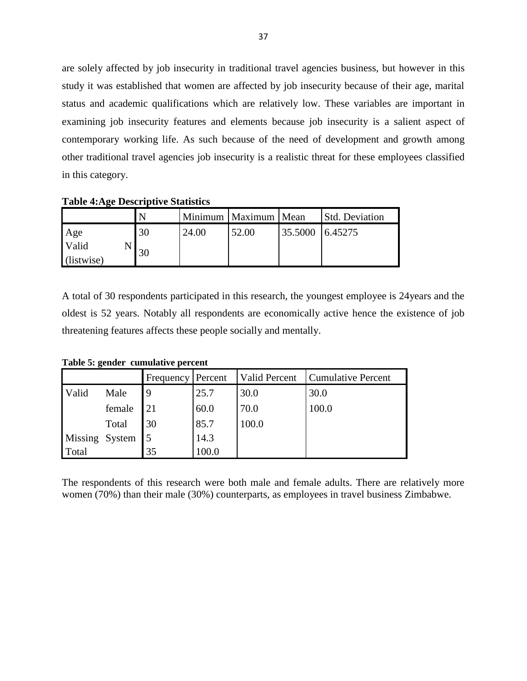are solely affected by job insecurity in traditional travel agencies business, but however in this study it was established that women are affected by job insecurity because of their age, marital status and academic qualifications which are relatively low. These variables are important in examining job insecurity features and elements because job insecurity is a salient aspect of contemporary working life. As such because of the need of development and growth among other traditional travel agencies job insecurity is a realistic threat for these employees classified in this category.

**Table 4:Age Descriptive Statistics**

|            |    |       | Minimum   Maximum   Mean |         | <b>Std. Deviation</b> |
|------------|----|-------|--------------------------|---------|-----------------------|
| Age        | 30 | 24.00 | 52.00                    | 35.5000 | 6.45275               |
| Valid      | 30 |       |                          |         |                       |
| (listwise) |    |       |                          |         |                       |

A total of 30 respondents participated in this research, the youngest employee is 24years and the oldest is 52 years. Notably all respondents are economically active hence the existence of job threatening features affects these people socially and mentally.

**Table 5: gender cumulative percent**

|       | $\sim$ $\sim$ $\sim$ $\sim$ $\sim$ $\sim$ |                   |       |               |                    |  |  |  |
|-------|-------------------------------------------|-------------------|-------|---------------|--------------------|--|--|--|
|       |                                           | Frequency Percent |       | Valid Percent | Cumulative Percent |  |  |  |
| Valid | Male                                      |                   | 25.7  | 30.0          | 30.0               |  |  |  |
|       | female                                    | 21                | 60.0  | 70.0          | 100.0              |  |  |  |
|       | Total                                     | 30                | 85.7  | 100.0         |                    |  |  |  |
|       | Missing System 5                          |                   | 14.3  |               |                    |  |  |  |
| Total |                                           | 35                | 100.0 |               |                    |  |  |  |

The respondents of this research were both male and female adults. There are relatively more women (70%) than their male (30%) counterparts, as employees in travel business Zimbabwe.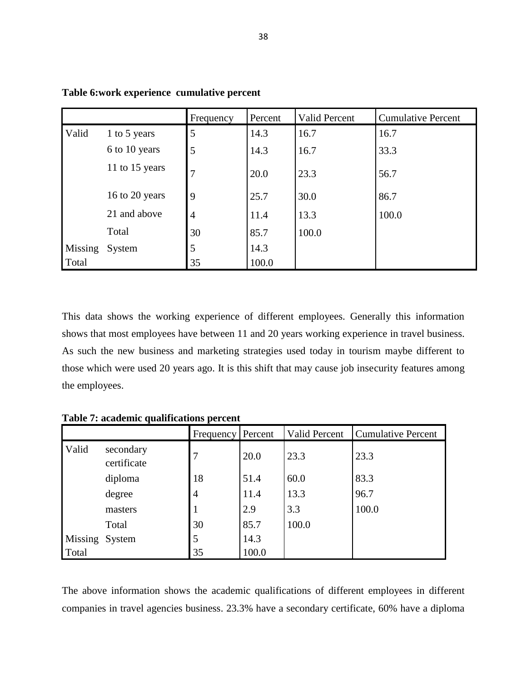|         |                | Frequency      | Percent | Valid Percent | <b>Cumulative Percent</b> |
|---------|----------------|----------------|---------|---------------|---------------------------|
| Valid   | 1 to 5 years   | 5              | 14.3    | 16.7          | 16.7                      |
|         | 6 to 10 years  | 5              | 14.3    | 16.7          | 33.3                      |
|         | 11 to 15 years | 7              | 20.0    | 23.3          | 56.7                      |
|         | 16 to 20 years | 9              | 25.7    | 30.0          | 86.7                      |
|         | 21 and above   | $\overline{4}$ | 11.4    | 13.3          | 100.0                     |
|         | Total          | 30             | 85.7    | 100.0         |                           |
| Missing | System         | 5              | 14.3    |               |                           |
| Total   |                | 35             | 100.0   |               |                           |

**Table 6:work experience cumulative percent**

This data shows the working experience of different employees. Generally this information shows that most employees have between 11 and 20 years working experience in travel business. As such the new business and marketing strategies used today in tourism maybe different to those which were used 20 years ago. It is this shift that may cause job insecurity features among the employees.

**Table 7: academic qualifications percent**

|                |                          | Frequency      | Percent | Valid Percent | <b>Cumulative Percent</b> |
|----------------|--------------------------|----------------|---------|---------------|---------------------------|
| Valid          | secondary<br>certificate | 7              | 20.0    | 23.3          | 23.3                      |
|                | diploma                  | 18             | 51.4    | 60.0          | 83.3                      |
|                | degree                   | $\overline{4}$ | 11.4    | 13.3          | 96.7                      |
|                | masters                  | $\mathbf 1$    | 2.9     | 3.3           | 100.0                     |
|                | Total                    | 30             | 85.7    | 100.0         |                           |
| Missing System |                          | 5              | 14.3    |               |                           |
| Total          |                          | 35             | 100.0   |               |                           |

The above information shows the academic qualifications of different employees in different companies in travel agencies business. 23.3% have a secondary certificate, 60% have a diploma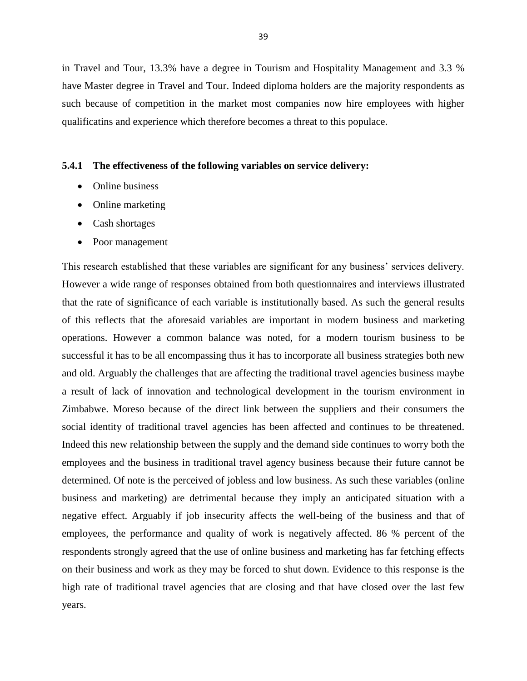in Travel and Tour, 13.3% have a degree in Tourism and Hospitality Management and 3.3 % have Master degree in Travel and Tour. Indeed diploma holders are the majority respondents as such because of competition in the market most companies now hire employees with higher qualificatins and experience which therefore becomes a threat to this populace.

#### **5.4.1 The effectiveness of the following variables on service delivery:**

- Online business
- Online marketing
- Cash shortages
- Poor management

This research established that these variables are significant for any business' services delivery. However a wide range of responses obtained from both questionnaires and interviews illustrated that the rate of significance of each variable is institutionally based. As such the general results of this reflects that the aforesaid variables are important in modern business and marketing operations. However a common balance was noted, for a modern tourism business to be successful it has to be all encompassing thus it has to incorporate all business strategies both new and old. Arguably the challenges that are affecting the traditional travel agencies business maybe a result of lack of innovation and technological development in the tourism environment in Zimbabwe. Moreso because of the direct link between the suppliers and their consumers the social identity of traditional travel agencies has been affected and continues to be threatened. Indeed this new relationship between the supply and the demand side continues to worry both the employees and the business in traditional travel agency business because their future cannot be determined. Of note is the perceived of jobless and low business. As such these variables (online business and marketing) are detrimental because they imply an anticipated situation with a negative effect. Arguably if job insecurity affects the well-being of the business and that of employees, the performance and quality of work is negatively affected. 86 % percent of the respondents strongly agreed that the use of online business and marketing has far fetching effects on their business and work as they may be forced to shut down. Evidence to this response is the high rate of traditional travel agencies that are closing and that have closed over the last few years.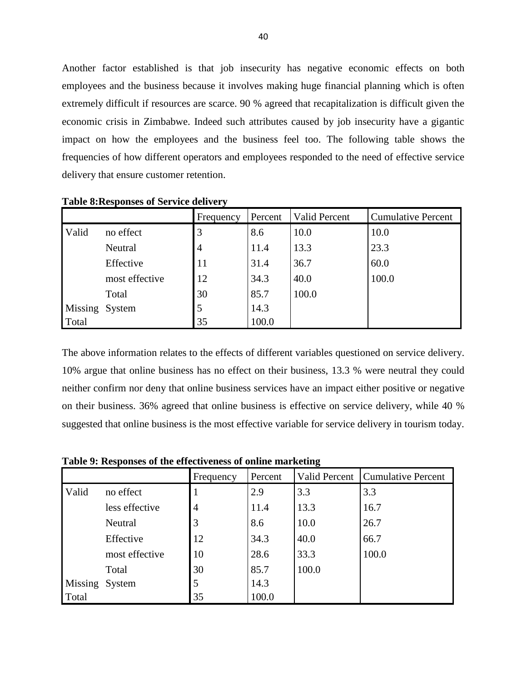Another factor established is that job insecurity has negative economic effects on both employees and the business because it involves making huge financial planning which is often extremely difficult if resources are scarce. 90 % agreed that recapitalization is difficult given the economic crisis in Zimbabwe. Indeed such attributes caused by job insecurity have a gigantic impact on how the employees and the business feel too. The following table shows the frequencies of how different operators and employees responded to the need of effective service delivery that ensure customer retention.

|                |                | Frequency      | Percent | Valid Percent | <b>Cumulative Percent</b> |
|----------------|----------------|----------------|---------|---------------|---------------------------|
| Valid          | no effect      |                | 8.6     | 10.0          | 10.0                      |
|                | Neutral        | $\overline{4}$ | 11.4    | 13.3          | 23.3                      |
|                | Effective      | 11             | 31.4    | 36.7          | 60.0                      |
|                | most effective | 12             | 34.3    | 40.0          | 100.0                     |
|                | Total          | 30             | 85.7    | 100.0         |                           |
| Missing System |                | 5              | 14.3    |               |                           |
| Total          |                | 35             | 100.0   |               |                           |

**Table 8:Responses of Service delivery**

The above information relates to the effects of different variables questioned on service delivery. 10% argue that online business has no effect on their business, 13.3 % were neutral they could neither confirm nor deny that online business services have an impact either positive or negative on their business. 36% agreed that online business is effective on service delivery, while 40 % suggested that online business is the most effective variable for service delivery in tourism today.

|                |                | Frequency      | Percent | Valid Percent | Cumulative Percent |
|----------------|----------------|----------------|---------|---------------|--------------------|
| Valid          | no effect      |                | 2.9     | 3.3           | 3.3                |
|                | less effective | $\overline{4}$ | 11.4    | 13.3          | 16.7               |
|                | Neutral        | 3              | 8.6     | 10.0          | 26.7               |
|                | Effective      | 12             | 34.3    | 40.0          | 66.7               |
|                | most effective | 10             | 28.6    | 33.3          | 100.0              |
|                | Total          | 30             | 85.7    | 100.0         |                    |
| Missing System |                | 5              | 14.3    |               |                    |
| Total          |                | 35             | 100.0   |               |                    |

**Table 9: Responses of the effectiveness of online marketing**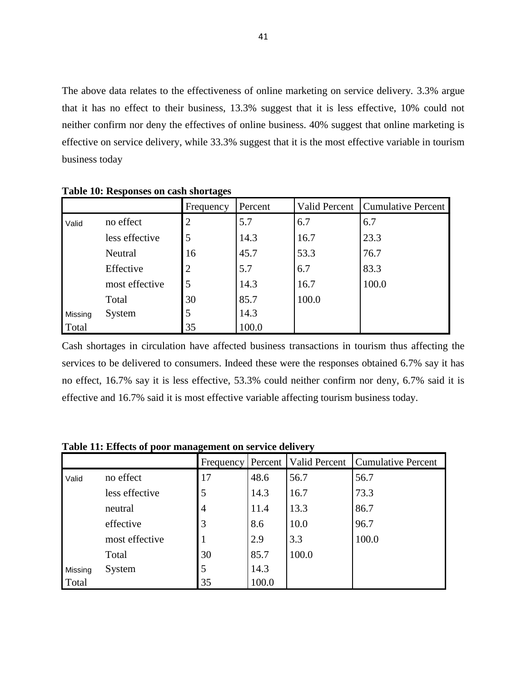The above data relates to the effectiveness of online marketing on service delivery. 3.3% argue that it has no effect to their business, 13.3% suggest that it is less effective, 10% could not neither confirm nor deny the effectives of online business. 40% suggest that online marketing is effective on service delivery, while 33.3% suggest that it is the most effective variable in tourism business today

|         |                | Frequency      | Percent | Valid Percent | <b>Cumulative Percent</b> |
|---------|----------------|----------------|---------|---------------|---------------------------|
| Valid   | no effect      | 2              | 5.7     | 6.7           | 6.7                       |
|         | less effective | 5              | 14.3    | 16.7          | 23.3                      |
|         | Neutral        | 16             | 45.7    | 53.3          | 76.7                      |
|         | Effective      | $\overline{2}$ | 5.7     | 6.7           | 83.3                      |
|         | most effective | 5              | 14.3    | 16.7          | 100.0                     |
|         | Total          | 30             | 85.7    | 100.0         |                           |
| Missing | System         | 5              | 14.3    |               |                           |
| Total   |                | 35             | 100.0   |               |                           |

**Table 10: Responses on cash shortages**

Cash shortages in circulation have affected business transactions in tourism thus affecting the services to be delivered to consumers. Indeed these were the responses obtained 6.7% say it has no effect, 16.7% say it is less effective, 53.3% could neither confirm nor deny, 6.7% said it is effective and 16.7% said it is most effective variable affecting tourism business today.

**Table 11: Effects of poor management on service delivery**

|         |                | Frequency      |       | Percent   Valid Percent | <b>Cumulative Percent</b> |
|---------|----------------|----------------|-------|-------------------------|---------------------------|
| Valid   | no effect      | 17             | 48.6  | 56.7                    | 56.7                      |
|         | less effective | 5              | 14.3  | 16.7                    | 73.3                      |
|         | neutral        | $\overline{4}$ | 11.4  | 13.3                    | 86.7                      |
|         | effective      | 3              | 8.6   | 10.0                    | 96.7                      |
|         | most effective |                | 2.9   | 3.3                     | 100.0                     |
|         | Total          | 30             | 85.7  | 100.0                   |                           |
| Missing | System         | 5              | 14.3  |                         |                           |
| Total   |                | 35             | 100.0 |                         |                           |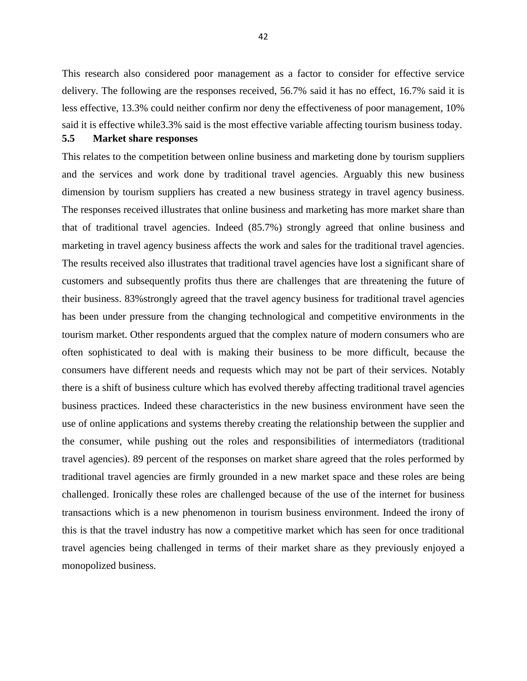This research also considered poor management as a factor to consider for effective service delivery. The following are the responses received, 56.7% said it has no effect, 16.7% said it is less effective, 13.3% could neither confirm nor deny the effectiveness of poor management, 10% said it is effective while3.3% said is the most effective variable affecting tourism business today. **5.5 Market share responses**

This relates to the competition between online business and marketing done by tourism suppliers and the services and work done by traditional travel agencies. Arguably this new business dimension by tourism suppliers has created a new business strategy in travel agency business. The responses received illustrates that online business and marketing has more market share than that of traditional travel agencies. Indeed (85.7%) strongly agreed that online business and marketing in travel agency business affects the work and sales for the traditional travel agencies. The results received also illustrates that traditional travel agencies have lost a significant share of customers and subsequently profits thus there are challenges that are threatening the future of their business. 83%strongly agreed that the travel agency business for traditional travel agencies has been under pressure from the changing technological and competitive environments in the tourism market. Other respondents argued that the complex nature of modern consumers who are often sophisticated to deal with is making their business to be more difficult, because the consumers have different needs and requests which may not be part of their services. Notably there is a shift of business culture which has evolved thereby affecting traditional travel agencies business practices. Indeed these characteristics in the new business environment have seen the use of online applications and systems thereby creating the relationship between the supplier and the consumer, while pushing out the roles and responsibilities of intermediators (traditional travel agencies). 89 percent of the responses on market share agreed that the roles performed by traditional travel agencies are firmly grounded in a new market space and these roles are being challenged. Ironically these roles are challenged because of the use of the internet for business transactions which is a new phenomenon in tourism business environment. Indeed the irony of this is that the travel industry has now a competitive market which has seen for once traditional travel agencies being challenged in terms of their market share as they previously enjoyed a monopolized business.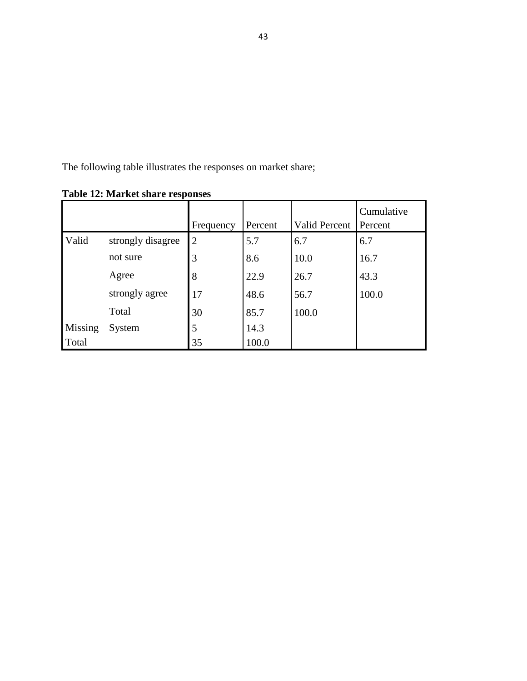The following table illustrates the responses on market share;

|                |                   | Frequency      | Percent | <b>Valid Percent</b> | Cumulative<br>Percent |
|----------------|-------------------|----------------|---------|----------------------|-----------------------|
| Valid          | strongly disagree | $\overline{2}$ | 5.7     | 6.7                  | 6.7                   |
|                | not sure          | 3              | 8.6     | 10.0                 | 16.7                  |
|                | Agree             | 8              | 22.9    | 26.7                 | 43.3                  |
|                | strongly agree    | 17             | 48.6    | 56.7                 | 100.0                 |
|                | Total             | 30             | 85.7    | 100.0                |                       |
| <b>Missing</b> | System            | 5              | 14.3    |                      |                       |
| Total          |                   | 35             | 100.0   |                      |                       |

**Table 12: Market share responses**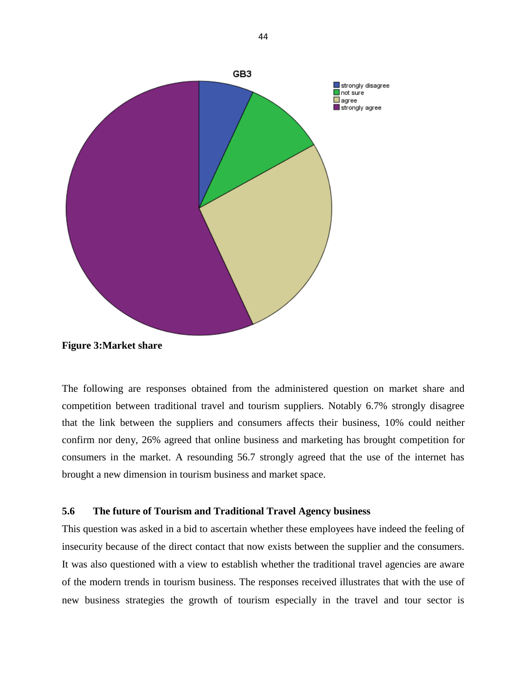

**Figure 3:Market share**

The following are responses obtained from the administered question on market share and competition between traditional travel and tourism suppliers. Notably 6.7% strongly disagree that the link between the suppliers and consumers affects their business, 10% could neither confirm nor deny, 26% agreed that online business and marketing has brought competition for consumers in the market. A resounding 56.7 strongly agreed that the use of the internet has brought a new dimension in tourism business and market space.

### **5.6 The future of Tourism and Traditional Travel Agency business**

This question was asked in a bid to ascertain whether these employees have indeed the feeling of insecurity because of the direct contact that now exists between the supplier and the consumers. It was also questioned with a view to establish whether the traditional travel agencies are aware of the modern trends in tourism business. The responses received illustrates that with the use of new business strategies the growth of tourism especially in the travel and tour sector is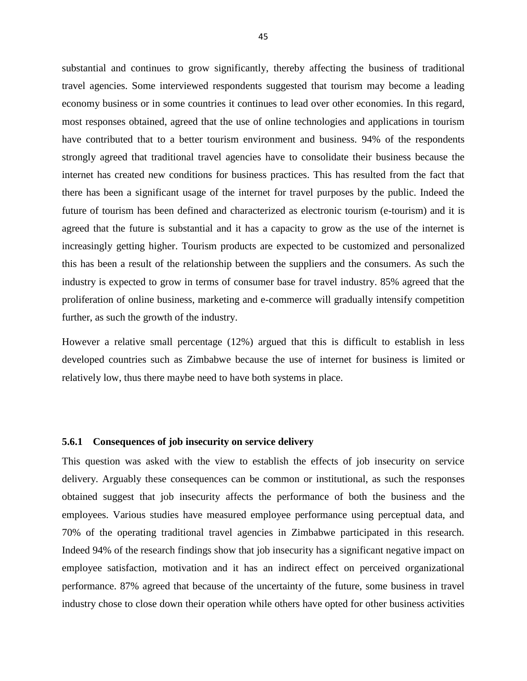substantial and continues to grow significantly, thereby affecting the business of traditional travel agencies. Some interviewed respondents suggested that tourism may become a leading economy business or in some countries it continues to lead over other economies. In this regard, most responses obtained, agreed that the use of online technologies and applications in tourism have contributed that to a better tourism environment and business. 94% of the respondents strongly agreed that traditional travel agencies have to consolidate their business because the internet has created new conditions for business practices. This has resulted from the fact that there has been a significant usage of the internet for travel purposes by the public. Indeed the future of tourism has been defined and characterized as electronic tourism (e-tourism) and it is agreed that the future is substantial and it has a capacity to grow as the use of the internet is increasingly getting higher. Tourism products are expected to be customized and personalized this has been a result of the relationship between the suppliers and the consumers. As such the industry is expected to grow in terms of consumer base for travel industry. 85% agreed that the proliferation of online business, marketing and e-commerce will gradually intensify competition further, as such the growth of the industry.

However a relative small percentage (12%) argued that this is difficult to establish in less developed countries such as Zimbabwe because the use of internet for business is limited or relatively low, thus there maybe need to have both systems in place.

#### **5.6.1 Consequences of job insecurity on service delivery**

This question was asked with the view to establish the effects of job insecurity on service delivery. Arguably these consequences can be common or institutional, as such the responses obtained suggest that job insecurity affects the performance of both the business and the employees. Various studies have measured employee performance using perceptual data, and 70% of the operating traditional travel agencies in Zimbabwe participated in this research. Indeed 94% of the research findings show that job insecurity has a significant negative impact on employee satisfaction, motivation and it has an indirect effect on perceived organizational performance. 87% agreed that because of the uncertainty of the future, some business in travel industry chose to close down their operation while others have opted for other business activities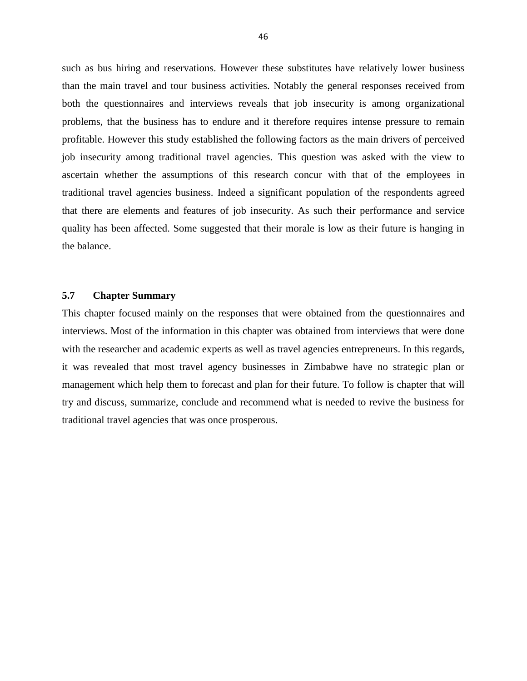such as bus hiring and reservations. However these substitutes have relatively lower business than the main travel and tour business activities. Notably the general responses received from both the questionnaires and interviews reveals that job insecurity is among organizational problems, that the business has to endure and it therefore requires intense pressure to remain profitable. However this study established the following factors as the main drivers of perceived job insecurity among traditional travel agencies. This question was asked with the view to ascertain whether the assumptions of this research concur with that of the employees in traditional travel agencies business. Indeed a significant population of the respondents agreed that there are elements and features of job insecurity. As such their performance and service quality has been affected. Some suggested that their morale is low as their future is hanging in the balance.

## **5.7 Chapter Summary**

This chapter focused mainly on the responses that were obtained from the questionnaires and interviews. Most of the information in this chapter was obtained from interviews that were done with the researcher and academic experts as well as travel agencies entrepreneurs. In this regards, it was revealed that most travel agency businesses in Zimbabwe have no strategic plan or management which help them to forecast and plan for their future. To follow is chapter that will try and discuss, summarize, conclude and recommend what is needed to revive the business for traditional travel agencies that was once prosperous.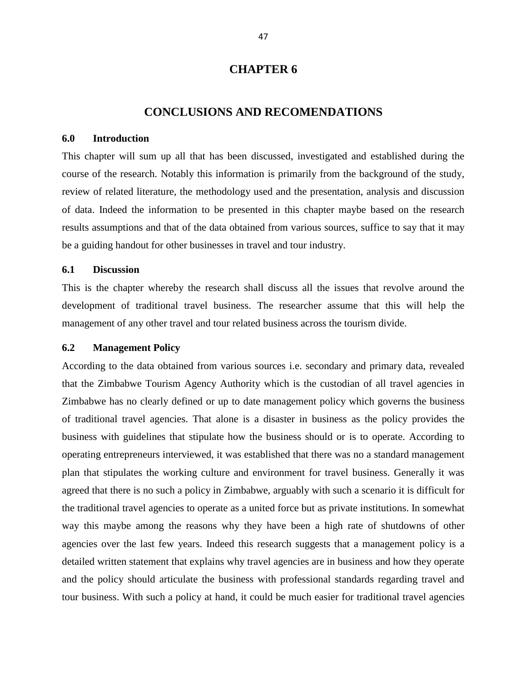### **CHAPTER 6**

## **CONCLUSIONS AND RECOMENDATIONS**

#### **6.0 Introduction**

This chapter will sum up all that has been discussed, investigated and established during the course of the research. Notably this information is primarily from the background of the study, review of related literature, the methodology used and the presentation, analysis and discussion of data. Indeed the information to be presented in this chapter maybe based on the research results assumptions and that of the data obtained from various sources, suffice to say that it may be a guiding handout for other businesses in travel and tour industry.

#### **6.1 Discussion**

This is the chapter whereby the research shall discuss all the issues that revolve around the development of traditional travel business. The researcher assume that this will help the management of any other travel and tour related business across the tourism divide.

#### **6.2 Management Policy**

According to the data obtained from various sources i.e. secondary and primary data, revealed that the Zimbabwe Tourism Agency Authority which is the custodian of all travel agencies in Zimbabwe has no clearly defined or up to date management policy which governs the business of traditional travel agencies. That alone is a disaster in business as the policy provides the business with guidelines that stipulate how the business should or is to operate. According to operating entrepreneurs interviewed, it was established that there was no a standard management plan that stipulates the working culture and environment for travel business. Generally it was agreed that there is no such a policy in Zimbabwe, arguably with such a scenario it is difficult for the traditional travel agencies to operate as a united force but as private institutions. In somewhat way this maybe among the reasons why they have been a high rate of shutdowns of other agencies over the last few years. Indeed this research suggests that a management policy is a detailed written statement that explains why travel agencies are in business and how they operate and the policy should articulate the business with professional standards regarding travel and tour business. With such a policy at hand, it could be much easier for traditional travel agencies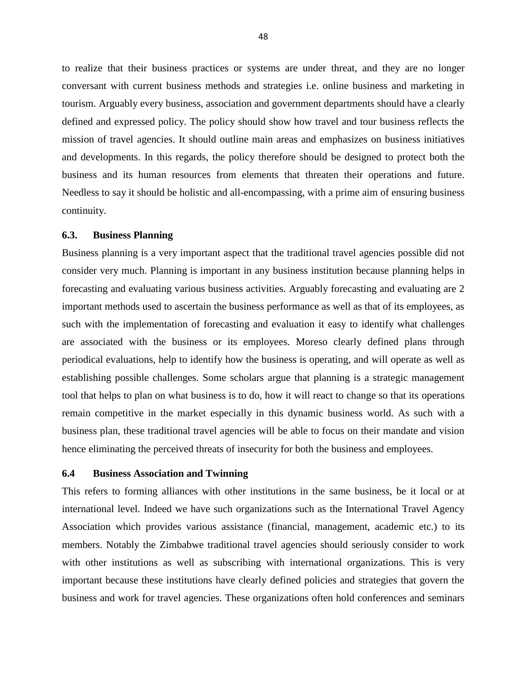to realize that their business practices or systems are under threat, and they are no longer conversant with current business methods and strategies i.e. online business and marketing in tourism. Arguably every business, association and government departments should have a clearly defined and expressed policy. The policy should show how travel and tour business reflects the mission of travel agencies. It should outline main areas and emphasizes on business initiatives and developments. In this regards, the policy therefore should be designed to protect both the business and its human resources from elements that threaten their operations and future. Needless to say it should be holistic and all-encompassing, with a prime aim of ensuring business continuity.

#### **6.3. Business Planning**

Business planning is a very important aspect that the traditional travel agencies possible did not consider very much. Planning is important in any business institution because planning helps in forecasting and evaluating various business activities. Arguably forecasting and evaluating are 2 important methods used to ascertain the business performance as well as that of its employees, as such with the implementation of forecasting and evaluation it easy to identify what challenges are associated with the business or its employees. Moreso clearly defined plans through periodical evaluations, help to identify how the business is operating, and will operate as well as establishing possible challenges. Some scholars argue that planning is a strategic management tool that helps to plan on what business is to do, how it will react to change so that its operations remain competitive in the market especially in this dynamic business world. As such with a business plan, these traditional travel agencies will be able to focus on their mandate and vision hence eliminating the perceived threats of insecurity for both the business and employees.

#### **6.4 Business Association and Twinning**

This refers to forming alliances with other institutions in the same business, be it local or at international level. Indeed we have such organizations such as the International Travel Agency Association which provides various assistance (financial, management, academic etc.) to its members. Notably the Zimbabwe traditional travel agencies should seriously consider to work with other institutions as well as subscribing with international organizations. This is very important because these institutions have clearly defined policies and strategies that govern the business and work for travel agencies. These organizations often hold conferences and seminars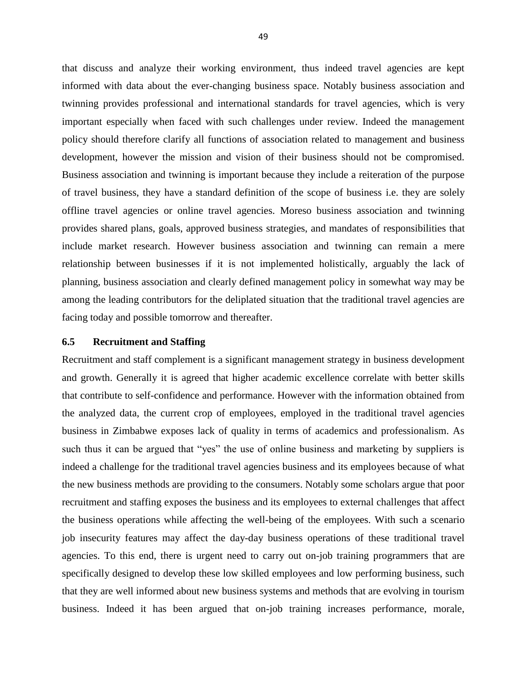that discuss and analyze their working environment, thus indeed travel agencies are kept informed with data about the ever-changing business space. Notably business association and twinning provides professional and international standards for travel agencies, which is very important especially when faced with such challenges under review. Indeed the management policy should therefore clarify all functions of association related to management and business development, however the mission and vision of their business should not be compromised. Business association and twinning is important because they include a reiteration of the purpose of travel business, they have a standard definition of the scope of business i.e. they are solely offline travel agencies or online travel agencies. Moreso business association and twinning provides shared plans, goals, approved business strategies, and mandates of responsibilities that include market research. However business association and twinning can remain a mere relationship between businesses if it is not implemented holistically, arguably the lack of planning, business association and clearly defined management policy in somewhat way may be among the leading contributors for the deliplated situation that the traditional travel agencies are facing today and possible tomorrow and thereafter.

### **6.5 Recruitment and Staffing**

Recruitment and staff complement is a significant management strategy in business development and growth. Generally it is agreed that higher academic excellence correlate with better skills that contribute to self-confidence and performance. However with the information obtained from the analyzed data, the current crop of employees, employed in the traditional travel agencies business in Zimbabwe exposes lack of quality in terms of academics and professionalism. As such thus it can be argued that "yes" the use of online business and marketing by suppliers is indeed a challenge for the traditional travel agencies business and its employees because of what the new business methods are providing to the consumers. Notably some scholars argue that poor recruitment and staffing exposes the business and its employees to external challenges that affect the business operations while affecting the well-being of the employees. With such a scenario job insecurity features may affect the day-day business operations of these traditional travel agencies. To this end, there is urgent need to carry out on-job training programmers that are specifically designed to develop these low skilled employees and low performing business, such that they are well informed about new business systems and methods that are evolving in tourism business. Indeed it has been argued that on-job training increases performance, morale,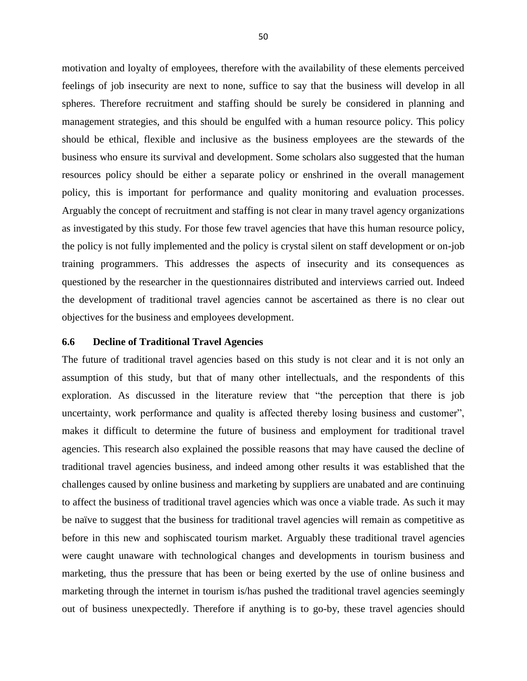motivation and loyalty of employees, therefore with the availability of these elements perceived feelings of job insecurity are next to none, suffice to say that the business will develop in all spheres. Therefore recruitment and staffing should be surely be considered in planning and management strategies, and this should be engulfed with a human resource policy. This policy should be ethical, flexible and inclusive as the business employees are the stewards of the business who ensure its survival and development. Some scholars also suggested that the human resources policy should be either a separate policy or enshrined in the overall management policy, this is important for performance and quality monitoring and evaluation processes. Arguably the concept of recruitment and staffing is not clear in many travel agency organizations as investigated by this study. For those few travel agencies that have this human resource policy, the policy is not fully implemented and the policy is crystal silent on staff development or on-job training programmers. This addresses the aspects of insecurity and its consequences as questioned by the researcher in the questionnaires distributed and interviews carried out. Indeed the development of traditional travel agencies cannot be ascertained as there is no clear out objectives for the business and employees development.

#### **6.6 Decline of Traditional Travel Agencies**

The future of traditional travel agencies based on this study is not clear and it is not only an assumption of this study, but that of many other intellectuals, and the respondents of this exploration. As discussed in the literature review that "the perception that there is job uncertainty, work performance and quality is affected thereby losing business and customer", makes it difficult to determine the future of business and employment for traditional travel agencies. This research also explained the possible reasons that may have caused the decline of traditional travel agencies business, and indeed among other results it was established that the challenges caused by online business and marketing by suppliers are unabated and are continuing to affect the business of traditional travel agencies which was once a viable trade. As such it may be naïve to suggest that the business for traditional travel agencies will remain as competitive as before in this new and sophiscated tourism market. Arguably these traditional travel agencies were caught unaware with technological changes and developments in tourism business and marketing, thus the pressure that has been or being exerted by the use of online business and marketing through the internet in tourism is/has pushed the traditional travel agencies seemingly out of business unexpectedly. Therefore if anything is to go-by, these travel agencies should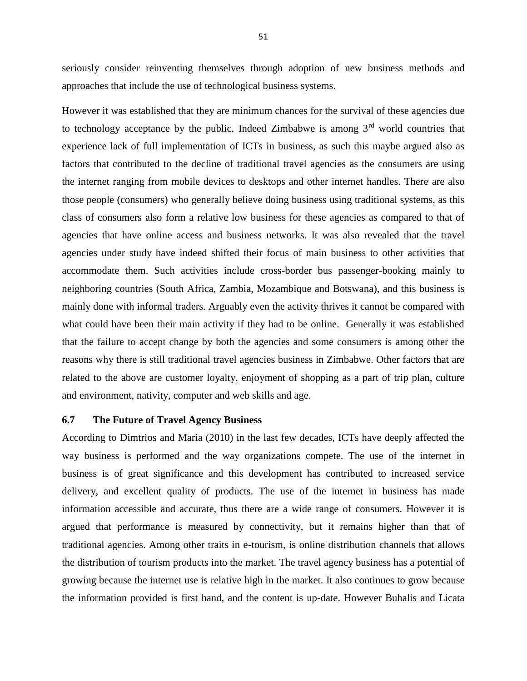seriously consider reinventing themselves through adoption of new business methods and approaches that include the use of technological business systems.

However it was established that they are minimum chances for the survival of these agencies due to technology acceptance by the public. Indeed Zimbabwe is among  $3<sup>rd</sup>$  world countries that experience lack of full implementation of ICTs in business, as such this maybe argued also as factors that contributed to the decline of traditional travel agencies as the consumers are using the internet ranging from mobile devices to desktops and other internet handles. There are also those people (consumers) who generally believe doing business using traditional systems, as this class of consumers also form a relative low business for these agencies as compared to that of agencies that have online access and business networks. It was also revealed that the travel agencies under study have indeed shifted their focus of main business to other activities that accommodate them. Such activities include cross-border bus passenger-booking mainly to neighboring countries (South Africa, Zambia, Mozambique and Botswana), and this business is mainly done with informal traders. Arguably even the activity thrives it cannot be compared with what could have been their main activity if they had to be online. Generally it was established that the failure to accept change by both the agencies and some consumers is among other the reasons why there is still traditional travel agencies business in Zimbabwe. Other factors that are related to the above are customer loyalty, enjoyment of shopping as a part of trip plan, culture and environment, nativity, computer and web skills and age.

#### **6.7 The Future of Travel Agency Business**

According to Dimtrios and Maria (2010) in the last few decades, ICTs have deeply affected the way business is performed and the way organizations compete. The use of the internet in business is of great significance and this development has contributed to increased service delivery, and excellent quality of products. The use of the internet in business has made information accessible and accurate, thus there are a wide range of consumers. However it is argued that performance is measured by connectivity, but it remains higher than that of traditional agencies. Among other traits in e-tourism, is online distribution channels that allows the distribution of tourism products into the market. The travel agency business has a potential of growing because the internet use is relative high in the market. It also continues to grow because the information provided is first hand, and the content is up-date. However Buhalis and Licata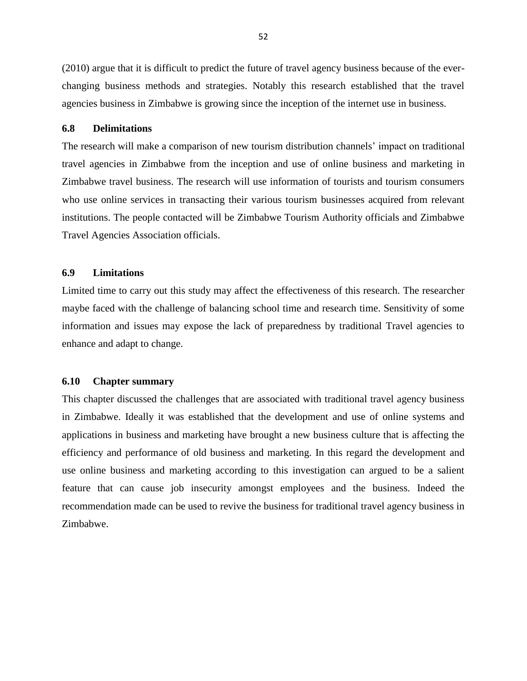(2010) argue that it is difficult to predict the future of travel agency business because of the everchanging business methods and strategies. Notably this research established that the travel agencies business in Zimbabwe is growing since the inception of the internet use in business.

#### **6.8 Delimitations**

The research will make a comparison of new tourism distribution channels' impact on traditional travel agencies in Zimbabwe from the inception and use of online business and marketing in Zimbabwe travel business. The research will use information of tourists and tourism consumers who use online services in transacting their various tourism businesses acquired from relevant institutions. The people contacted will be Zimbabwe Tourism Authority officials and Zimbabwe Travel Agencies Association officials.

#### **6.9 Limitations**

Limited time to carry out this study may affect the effectiveness of this research. The researcher maybe faced with the challenge of balancing school time and research time. Sensitivity of some information and issues may expose the lack of preparedness by traditional Travel agencies to enhance and adapt to change.

#### **6.10 Chapter summary**

This chapter discussed the challenges that are associated with traditional travel agency business in Zimbabwe. Ideally it was established that the development and use of online systems and applications in business and marketing have brought a new business culture that is affecting the efficiency and performance of old business and marketing. In this regard the development and use online business and marketing according to this investigation can argued to be a salient feature that can cause job insecurity amongst employees and the business. Indeed the recommendation made can be used to revive the business for traditional travel agency business in Zimbabwe.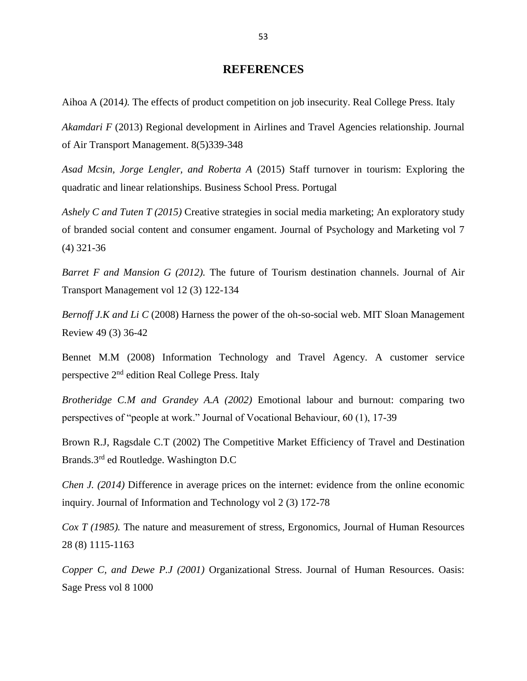## **REFERENCES**

Aihoa A (2014*).* The effects of product competition on job insecurity. Real College Press. Italy

*Akamdari F* (2013) Regional development in Airlines and Travel Agencies relationship. Journal of Air Transport Management. 8(5)339-348

*Asad Mcsin, Jorge Lengler, and Roberta A* (2015) Staff turnover in tourism: Exploring the quadratic and linear relationships. Business School Press. Portugal

*Ashely C and Tuten T (2015)* Creative strategies in social media marketing; An exploratory study of branded social content and consumer engament. Journal of Psychology and Marketing vol 7 (4) 321-36

*Barret F and Mansion G (2012).* The future of Tourism destination channels. Journal of Air Transport Management vol 12 (3) 122-134

*Bernoff J.K and Li C* (2008) Harness the power of the oh-so-social web. MIT Sloan Management Review 49 (3) 36-42

Bennet M.M (2008) Information Technology and Travel Agency. A customer service perspective 2nd edition Real College Press. Italy

*Brotheridge C.M and Grandey A.A (2002)* Emotional labour and burnout: comparing two perspectives of "people at work." Journal of Vocational Behaviour, 60 (1), 17-39

Brown R.J, Ragsdale C.T (2002) The Competitive Market Efficiency of Travel and Destination Brands.3rd ed Routledge. Washington D.C

*Chen J. (2014)* Difference in average prices on the internet: evidence from the online economic inquiry. Journal of Information and Technology vol 2 (3) 172-78

*Cox T (1985).* The nature and measurement of stress, Ergonomics, Journal of Human Resources 28 (8) 1115-1163

*Copper C, and Dewe P.J (2001)* Organizational Stress. Journal of Human Resources. Oasis: Sage Press vol 8 1000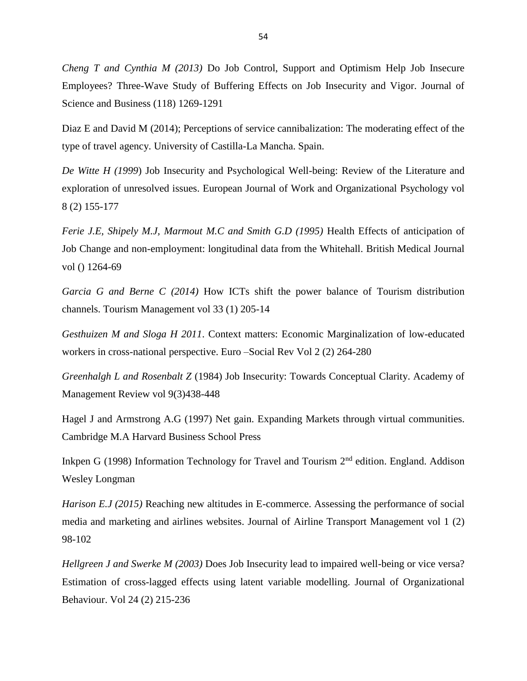*Cheng T and Cynthia M (2013)* Do Job Control, Support and Optimism Help Job Insecure Employees? Three-Wave Study of Buffering Effects on Job Insecurity and Vigor. Journal of Science and Business (118) 1269-1291

Diaz E and David M (2014); Perceptions of service cannibalization: The moderating effect of the type of travel agency. University of Castilla-La Mancha. Spain.

*De Witte H (1999*) Job Insecurity and Psychological Well-being: Review of the Literature and exploration of unresolved issues. European Journal of Work and Organizational Psychology vol 8 (2) 155-177

*Ferie J.E, Shipely M.J, Marmout M.C and Smith G.D (1995)* Health Effects of anticipation of Job Change and non-employment: longitudinal data from the Whitehall. British Medical Journal vol () 1264-69

*Garcia G and Berne C (2014)* How ICTs shift the power balance of Tourism distribution channels. Tourism Management vol 33 (1) 205-14

*Gesthuizen M and Sloga H 2011*. Context matters: Economic Marginalization of low-educated workers in cross-national perspective. Euro –Social Rev Vol 2 (2) 264-280

*Greenhalgh L and Rosenbalt Z* (1984) Job Insecurity: Towards Conceptual Clarity. Academy of Management Review vol 9(3)438-448

Hagel J and Armstrong A.G (1997) Net gain. Expanding Markets through virtual communities. Cambridge M.A Harvard Business School Press

Inkpen G (1998) Information Technology for Travel and Tourism 2<sup>nd</sup> edition. England. Addison Wesley Longman

*Harison E.J (2015)* Reaching new altitudes in E-commerce. Assessing the performance of social media and marketing and airlines websites. Journal of Airline Transport Management vol 1 (2) 98-102

*Hellgreen J and Swerke M (2003)* Does Job Insecurity lead to impaired well-being or vice versa? Estimation of cross-lagged effects using latent variable modelling. Journal of Organizational Behaviour. Vol 24 (2) 215-236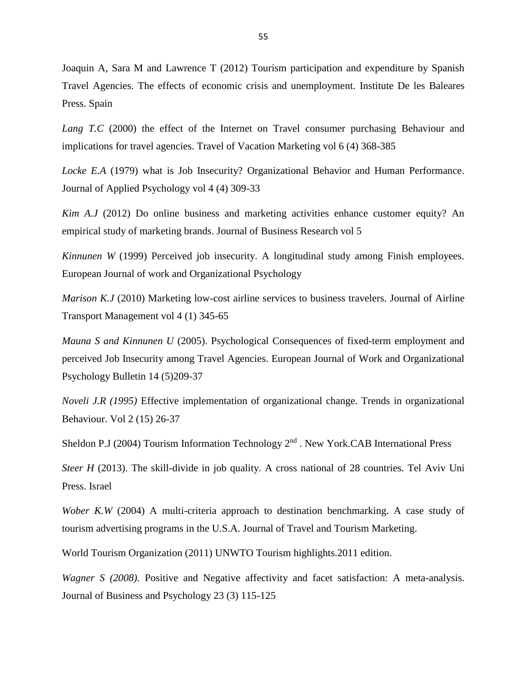Joaquin A, Sara M and Lawrence T (2012) Tourism participation and expenditure by Spanish Travel Agencies. The effects of economic crisis and unemployment. Institute De les Baleares Press. Spain

Lang T.C (2000) the effect of the Internet on Travel consumer purchasing Behaviour and implications for travel agencies. Travel of Vacation Marketing vol 6 (4) 368-385

*Locke E.A* (1979) what is Job Insecurity? Organizational Behavior and Human Performance. Journal of Applied Psychology vol 4 (4) 309-33

*Kim A.J* (2012) Do online business and marketing activities enhance customer equity? An empirical study of marketing brands. Journal of Business Research vol 5

*Kinnunen W* (1999) Perceived job insecurity. A longitudinal study among Finish employees. European Journal of work and Organizational Psychology

*Marison K.J* (2010) Marketing low-cost airline services to business travelers. Journal of Airline Transport Management vol 4 (1) 345-65

*Mauna S and Kinnunen U* (2005). Psychological Consequences of fixed-term employment and perceived Job Insecurity among Travel Agencies. European Journal of Work and Organizational Psychology Bulletin 14 (5)209-37

*Noveli J.R (1995)* Effective implementation of organizational change. Trends in organizational Behaviour. Vol 2 (15) 26-37

Sheldon P.J (2004) Tourism Information Technology 2<sup>nd</sup>. New York.CAB International Press

*Steer H* (2013). The skill-divide in job quality. A cross national of 28 countries. Tel Aviv Uni Press. Israel

*Wober K.W* (2004) A multi-criteria approach to destination benchmarking. A case study of tourism advertising programs in the U.S.A. Journal of Travel and Tourism Marketing.

World Tourism Organization (2011) UNWTO Tourism highlights.2011 edition.

*Wagner S (2008).* Positive and Negative affectivity and facet satisfaction: A meta-analysis. Journal of Business and Psychology 23 (3) 115-125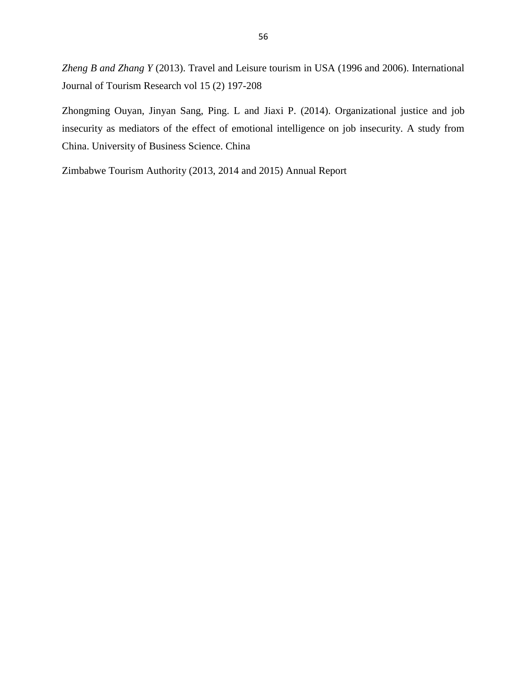*Zheng B and Zhang Y* (2013). Travel and Leisure tourism in USA (1996 and 2006). International Journal of Tourism Research vol 15 (2) 197-208

Zhongming Ouyan, Jinyan Sang, Ping. L and Jiaxi P. (2014). Organizational justice and job insecurity as mediators of the effect of emotional intelligence on job insecurity. A study from China. University of Business Science. China

Zimbabwe Tourism Authority (2013, 2014 and 2015) Annual Report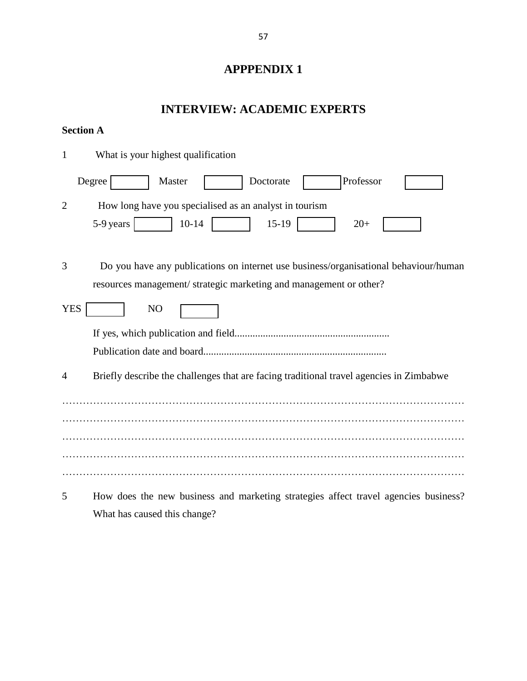# **APPPENDIX 1**

## **INTERVIEW: ACADEMIC EXPERTS**

## **Section A**

| 1              | What is your highest qualification                                                                                                                        |
|----------------|-----------------------------------------------------------------------------------------------------------------------------------------------------------|
|                | Professor<br>Degree<br>Master<br>Doctorate                                                                                                                |
| $\overline{2}$ | How long have you specialised as an analyst in tourism<br>$10 - 14$<br>5-9 years<br>$15-19$<br>$20+$                                                      |
| 3              | Do you have any publications on internet use business/organisational behaviour/human<br>resources management/strategic marketing and management or other? |
| <b>YES</b>     | N <sub>O</sub>                                                                                                                                            |
|                |                                                                                                                                                           |
| $\overline{4}$ | Briefly describe the challenges that are facing traditional travel agencies in Zimbabwe                                                                   |
|                |                                                                                                                                                           |
|                |                                                                                                                                                           |
|                |                                                                                                                                                           |
| 5              | How does the new business and marketing strategies affect travel agencies business?                                                                       |

What has caused this change?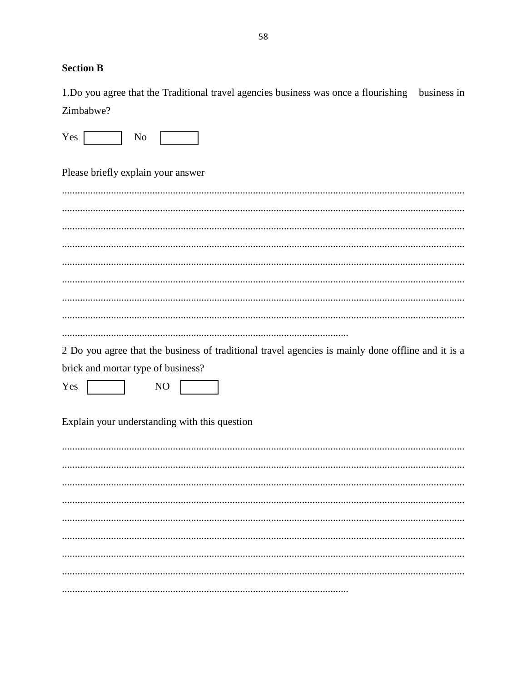## **Section B**

1.Do you agree that the Traditional travel agencies business was once a flourishing business in Zimbabwe?

Please briefly explain your answer

2 Do you agree that the business of traditional travel agencies is mainly done offline and it is a brick and mortar type of business?

Yes N<sub>O</sub>

Explain your understanding with this question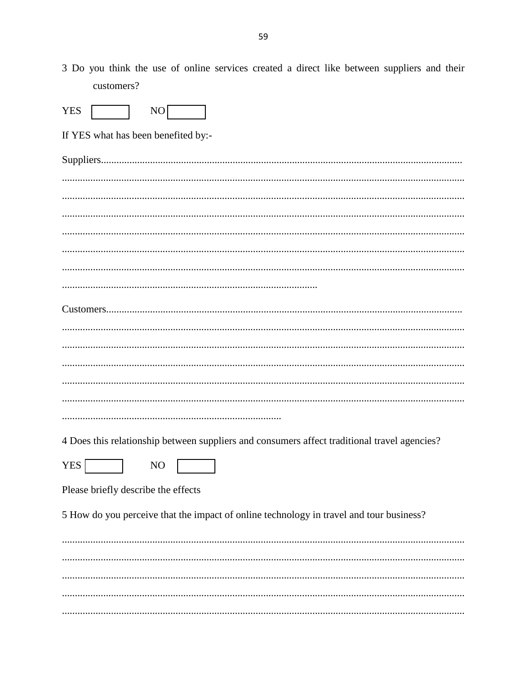3 Do you think the use of online services created a direct like between suppliers and their customers?

| <b>YES</b><br>NO                                                                             |
|----------------------------------------------------------------------------------------------|
| If YES what has been benefited by:-                                                          |
|                                                                                              |
|                                                                                              |
|                                                                                              |
|                                                                                              |
|                                                                                              |
|                                                                                              |
|                                                                                              |
|                                                                                              |
|                                                                                              |
|                                                                                              |
|                                                                                              |
|                                                                                              |
|                                                                                              |
|                                                                                              |
| 4 Does this relationship between suppliers and consumers affect traditional travel agencies? |
| <b>YES</b><br>N <sub>O</sub>                                                                 |
| Please briefly describe the effects                                                          |
| 5 How do you perceive that the impact of online technology in travel and tour business?      |
|                                                                                              |
|                                                                                              |
|                                                                                              |
|                                                                                              |
|                                                                                              |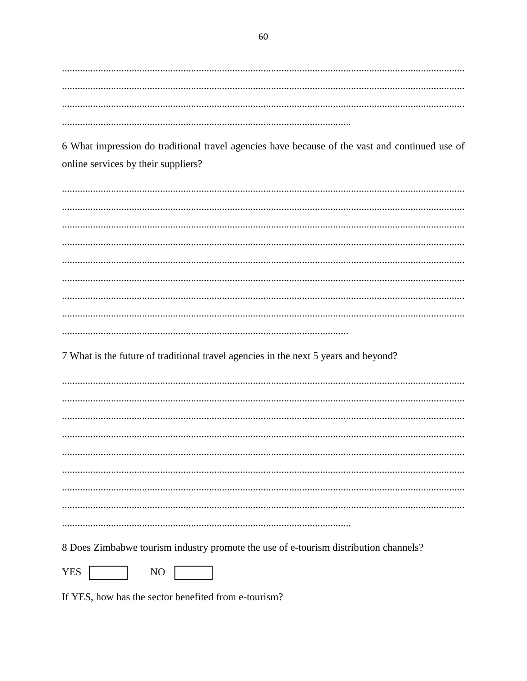6 What impression do traditional travel agencies have because of the vast and continued use of online services by their suppliers?

7 What is the future of traditional travel agencies in the next 5 years and beyond?

8 Does Zimbabwe tourism industry promote the use of e-tourism distribution channels?

YES | NO

If YES, how has the sector benefited from e-tourism?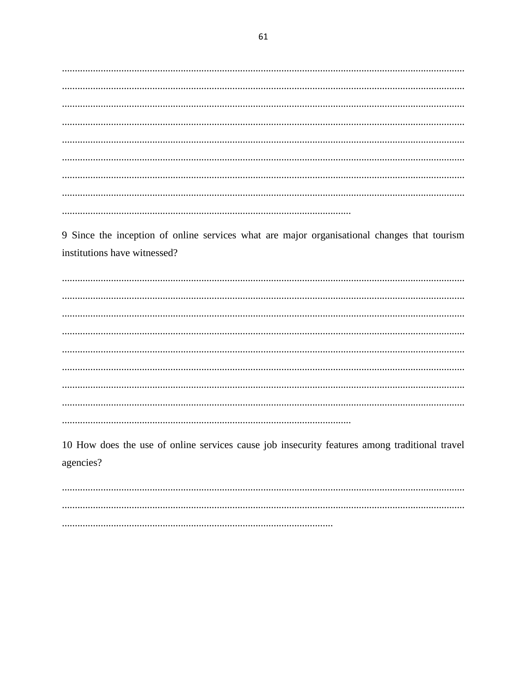9 Since the inception of online services what are major organisational changes that tourism institutions have witnessed?

10 How does the use of online services cause job insecurity features among traditional travel agencies?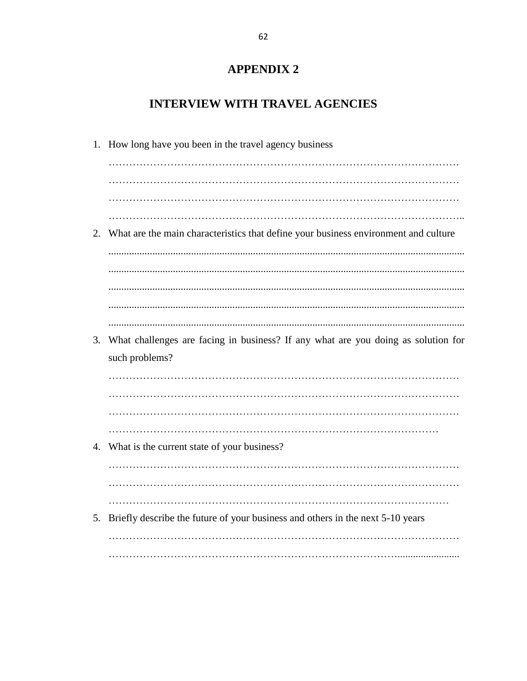# **APPENDIX 2**

# **INTERVIEW WITH TRAVEL AGENCIES**

|    | 1. How long have you been in the travel agency business                             |
|----|-------------------------------------------------------------------------------------|
|    |                                                                                     |
|    |                                                                                     |
|    |                                                                                     |
|    |                                                                                     |
| 2. | What are the main characteristics that define your business environment and culture |
|    |                                                                                     |
|    |                                                                                     |
|    |                                                                                     |
|    |                                                                                     |
| 3. | What challenges are facing in business? If any what are you doing as solution for   |
|    | such problems?                                                                      |
|    |                                                                                     |
|    |                                                                                     |
|    |                                                                                     |
|    |                                                                                     |
|    | 4. What is the current state of your business?                                      |
|    |                                                                                     |
|    |                                                                                     |
|    |                                                                                     |
| 5. | Briefly describe the future of your business and others in the next 5-10 years      |
|    |                                                                                     |
|    |                                                                                     |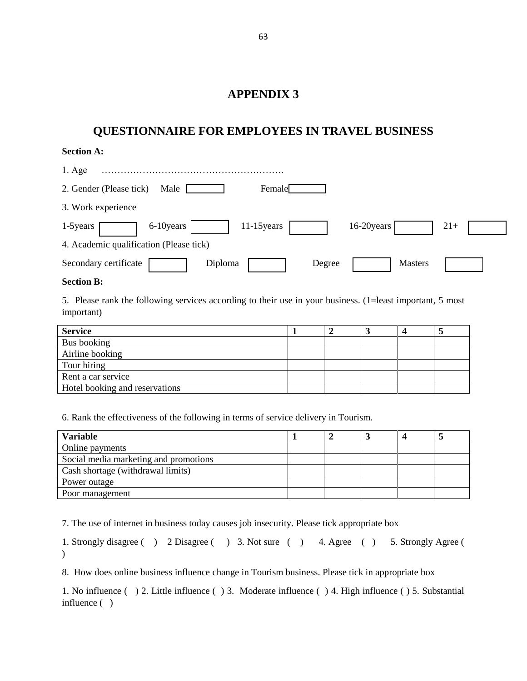## **APPENDIX 3**

# **QUESTIONNAIRE FOR EMPLOYEES IN TRAVEL BUSINESS**

### **Section A:**

| $1. \text{Age}$                                              |       |
|--------------------------------------------------------------|-------|
| 2. Gender (Please tick)<br>Male<br>Female                    |       |
| 3. Work experience                                           |       |
| 16-20years<br>$11-15$ years<br>6-10 years<br>1-5 years       | $21+$ |
| 4. Academic qualification (Please tick)                      |       |
| Secondary certificate<br><b>Masters</b><br>Diploma<br>Degree |       |

### **Section B:**

5. Please rank the following services according to their use in your business. (1=least important, 5 most important)

| <b>Service</b>                 |  |  |  |
|--------------------------------|--|--|--|
| Bus booking                    |  |  |  |
| Airline booking                |  |  |  |
| Tour hiring                    |  |  |  |
| Rent a car service             |  |  |  |
| Hotel booking and reservations |  |  |  |

6. Rank the effectiveness of the following in terms of service delivery in Tourism.

| <b>Variable</b>                       |  |  |  |
|---------------------------------------|--|--|--|
| Online payments                       |  |  |  |
| Social media marketing and promotions |  |  |  |
| Cash shortage (withdrawal limits)     |  |  |  |
| Power outage                          |  |  |  |
| Poor management                       |  |  |  |

7. The use of internet in business today causes job insecurity. Please tick appropriate box

1. Strongly disagree ( ) 2 Disagree ( ) 3. Not sure ( ) 4. Agree ( ) 5. Strongly Agree (  $\mathcal{L}$ 

8. How does online business influence change in Tourism business. Please tick in appropriate box

1. No influence ( ) 2. Little influence ( ) 3. Moderate influence ( ) 4. High influence ( ) 5. Substantial influence ( )